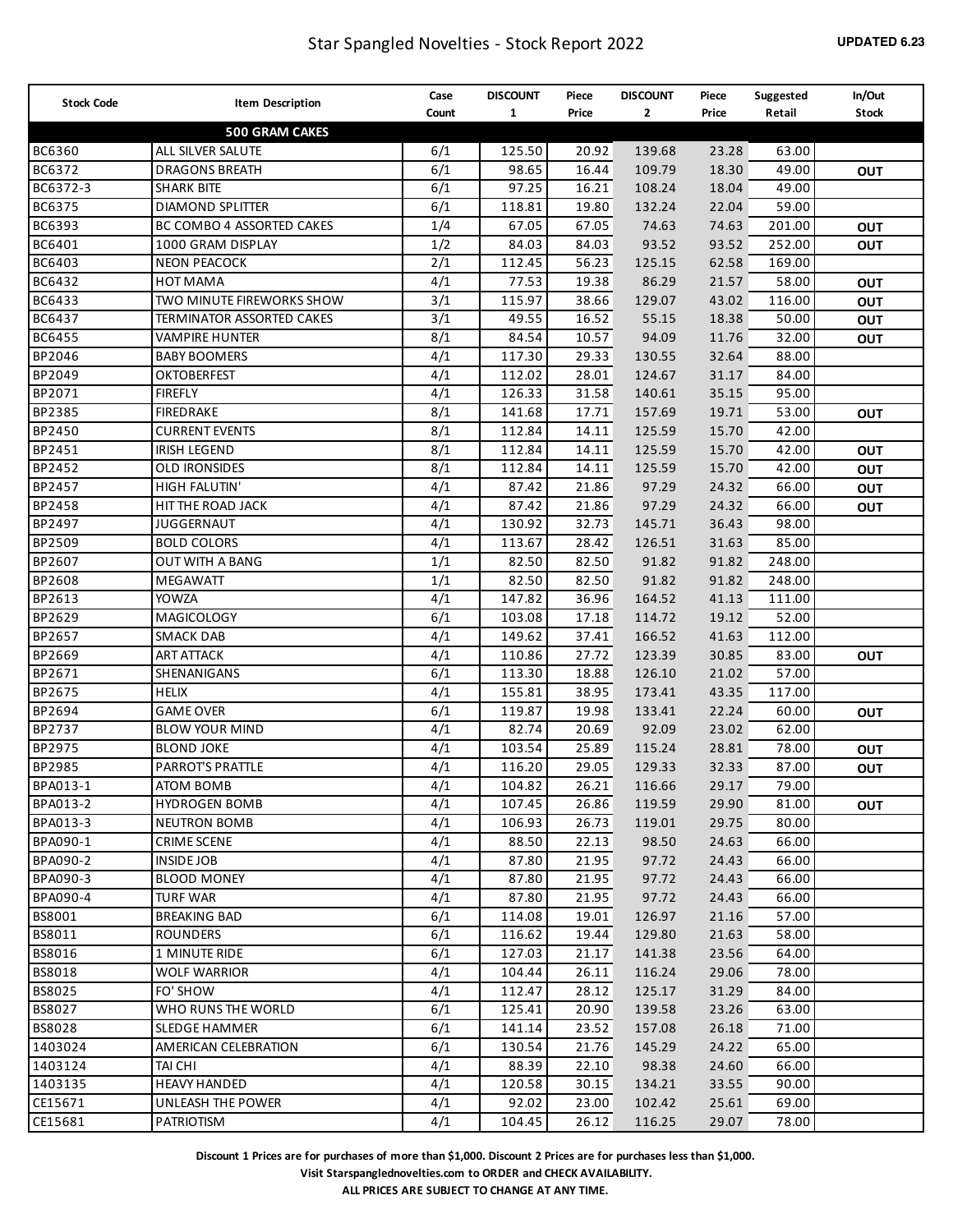| <b>Stock Code</b> | <b>Item Description</b>   | Case  | <b>DISCOUNT</b> | Piece | <b>DISCOUNT</b> | Piece | Suggested | In/Out       |
|-------------------|---------------------------|-------|-----------------|-------|-----------------|-------|-----------|--------------|
|                   |                           | Count | $\mathbf{1}$    | Price | $\mathbf{2}$    | Price | Retail    | <b>Stock</b> |
|                   | <b>500 GRAM CAKES</b>     |       |                 |       |                 |       |           |              |
| <b>BC6360</b>     | ALL SILVER SALUTE         | 6/1   | 125.50          | 20.92 | 139.68          | 23.28 | 63.00     |              |
| BC6372            | <b>DRAGONS BREATH</b>     | 6/1   | 98.65           | 16.44 | 109.79          | 18.30 | 49.00     | OUT          |
| BC6372-3          | <b>SHARK BITE</b>         | 6/1   | 97.25           | 16.21 | 108.24          | 18.04 | 49.00     |              |
| BC6375            | <b>DIAMOND SPLITTER</b>   | 6/1   | 118.81          | 19.80 | 132.24          | 22.04 | 59.00     |              |
| BC6393            | BC COMBO 4 ASSORTED CAKES | 1/4   | 67.05           | 67.05 | 74.63           | 74.63 | 201.00    | OUT          |
| BC6401            | 1000 GRAM DISPLAY         | 1/2   | 84.03           | 84.03 | 93.52           | 93.52 | 252.00    | OUT          |
| BC6403            | <b>NEON PEACOCK</b>       | 2/1   | 112.45          | 56.23 | 125.15          | 62.58 | 169.00    |              |
| BC6432            | <b>HOT MAMA</b>           | 4/1   | 77.53           | 19.38 | 86.29           | 21.57 | 58.00     | OUT          |
| BC6433            | TWO MINUTE FIREWORKS SHOW | 3/1   | 115.97          | 38.66 | 129.07          | 43.02 | 116.00    | OUT          |
| BC6437            | TERMINATOR ASSORTED CAKES | 3/1   | 49.55           | 16.52 | 55.15           | 18.38 | 50.00     | OUT          |
| <b>BC6455</b>     | <b>VAMPIRE HUNTER</b>     | 8/1   | 84.54           | 10.57 | 94.09           | 11.76 | 32.00     | OUT          |
| BP2046            | <b>BABY BOOMERS</b>       | 4/1   | 117.30          | 29.33 | 130.55          | 32.64 | 88.00     |              |
| BP2049            | <b>OKTOBERFEST</b>        | 4/1   | 112.02          | 28.01 | 124.67          | 31.17 | 84.00     |              |
| BP2071            | <b>FIREFLY</b>            | 4/1   | 126.33          | 31.58 | 140.61          | 35.15 | 95.00     |              |
| BP2385            | FIREDRAKE                 | 8/1   | 141.68          | 17.71 | 157.69          | 19.71 | 53.00     | OUT          |
| BP2450            | <b>CURRENT EVENTS</b>     | 8/1   | 112.84          | 14.11 | 125.59          | 15.70 | 42.00     |              |
| BP2451            | <b>IRISH LEGEND</b>       | 8/1   | 112.84          | 14.11 | 125.59          | 15.70 | 42.00     | OUT          |
| BP2452            | <b>OLD IRONSIDES</b>      | 8/1   | 112.84          | 14.11 | 125.59          | 15.70 | 42.00     | OUT          |
| BP2457            | <b>HIGH FALUTIN'</b>      | 4/1   | 87.42           | 21.86 | 97.29           | 24.32 | 66.00     | OUT          |
| BP2458            | HIT THE ROAD JACK         | 4/1   | 87.42           | 21.86 | 97.29           | 24.32 | 66.00     | OUT          |
| BP2497            | <b>JUGGERNAUT</b>         | 4/1   | 130.92          | 32.73 | 145.71          | 36.43 | 98.00     |              |
| BP2509            | <b>BOLD COLORS</b>        | 4/1   | 113.67          | 28.42 | 126.51          | 31.63 | 85.00     |              |
| BP2607            | OUT WITH A BANG           | 1/1   | 82.50           | 82.50 | 91.82           | 91.82 | 248.00    |              |
| BP2608            | MEGAWATT                  | 1/1   | 82.50           | 82.50 | 91.82           | 91.82 | 248.00    |              |
| BP2613            | <b>YOWZA</b>              | 4/1   | 147.82          | 36.96 | 164.52          | 41.13 | 111.00    |              |
| BP2629            | MAGICOLOGY                | 6/1   | 103.08          | 17.18 | 114.72          | 19.12 | 52.00     |              |
| BP2657            | <b>SMACK DAB</b>          | 4/1   | 149.62          | 37.41 | 166.52          | 41.63 | 112.00    |              |
| BP2669            | <b>ART ATTACK</b>         | 4/1   | 110.86          | 27.72 | 123.39          | 30.85 | 83.00     | OUT          |
| BP2671            | SHENANIGANS               | 6/1   | 113.30          | 18.88 | 126.10          | 21.02 | 57.00     |              |
| BP2675            | <b>HELIX</b>              | 4/1   | 155.81          | 38.95 | 173.41          | 43.35 | 117.00    |              |
| BP2694            | <b>GAME OVER</b>          | 6/1   | 119.87          | 19.98 | 133.41          | 22.24 | 60.00     | <b>OUT</b>   |
| BP2737            | <b>BLOW YOUR MIND</b>     | 4/1   | 82.74           | 20.69 | 92.09           | 23.02 | 62.00     |              |
| BP2975            | <b>BLOND JOKE</b>         | 4/1   | 103.54          | 25.89 | 115.24          | 28.81 | 78.00     | <b>OUT</b>   |
| BP2985            | PARROT'S PRATTLE          | 4/1   | 116.20          | 29.05 | 129.33          | 32.33 | 87.00     | OUT          |
| BPA013-1          | <b>ATOM BOMB</b>          | 4/1   | 104.82          | 26.21 | 116.66          | 29.17 | 79.00     |              |
| BPA013-2          | <b>HYDROGEN BOMB</b>      | 4/1   | 107.45          | 26.86 | 119.59          | 29.90 | 81.00     | OUT          |
| BPA013-3          | <b>NEUTRON BOMB</b>       | 4/1   | 106.93          | 26.73 | 119.01          | 29.75 | 80.00     |              |
| BPA090-1          | <b>CRIME SCENE</b>        | 4/1   | 88.50           | 22.13 | 98.50           | 24.63 | 66.00     |              |
| BPA090-2          | <b>INSIDE JOB</b>         | 4/1   | 87.80           | 21.95 | 97.72           | 24.43 | 66.00     |              |
| BPA090-3          | <b>BLOOD MONEY</b>        | 4/1   | 87.80           | 21.95 | 97.72           | 24.43 | 66.00     |              |
| BPA090-4          | <b>TURF WAR</b>           | 4/1   | 87.80           | 21.95 | 97.72           | 24.43 | 66.00     |              |
| BS8001            | <b>BREAKING BAD</b>       | 6/1   | 114.08          | 19.01 | 126.97          | 21.16 | 57.00     |              |
| BS8011            | <b>ROUNDERS</b>           | 6/1   | 116.62          | 19.44 | 129.80          | 21.63 | 58.00     |              |
| BS8016            | 1 MINUTE RIDE             | 6/1   | 127.03          | 21.17 | 141.38          | 23.56 | 64.00     |              |
| <b>BS8018</b>     | <b>WOLF WARRIOR</b>       | 4/1   | 104.44          | 26.11 | 116.24          | 29.06 | 78.00     |              |
| <b>BS8025</b>     | FO' SHOW                  | 4/1   | 112.47          | 28.12 | 125.17          | 31.29 | 84.00     |              |
| <b>BS8027</b>     | WHO RUNS THE WORLD        | 6/1   | 125.41          | 20.90 | 139.58          | 23.26 | 63.00     |              |
| <b>BS8028</b>     | <b>SLEDGE HAMMER</b>      | 6/1   | 141.14          | 23.52 | 157.08          | 26.18 | 71.00     |              |
| 1403024           | AMERICAN CELEBRATION      | 6/1   | 130.54          | 21.76 | 145.29          | 24.22 | 65.00     |              |
| 1403124           | TAI CHI                   | 4/1   | 88.39           | 22.10 | 98.38           | 24.60 | 66.00     |              |
| 1403135           | <b>HEAVY HANDED</b>       | 4/1   | 120.58          | 30.15 | 134.21          | 33.55 | 90.00     |              |
| CE15671           | UNLEASH THE POWER         | 4/1   | 92.02           | 23.00 | 102.42          | 25.61 | 69.00     |              |
| CE15681           | PATRIOTISM                | 4/1   | 104.45          | 26.12 | 116.25          | 29.07 | 78.00     |              |
|                   |                           |       |                 |       |                 |       |           |              |

**Visit Starspanglednovelties.com to ORDER and CHECK AVAILABILITY.**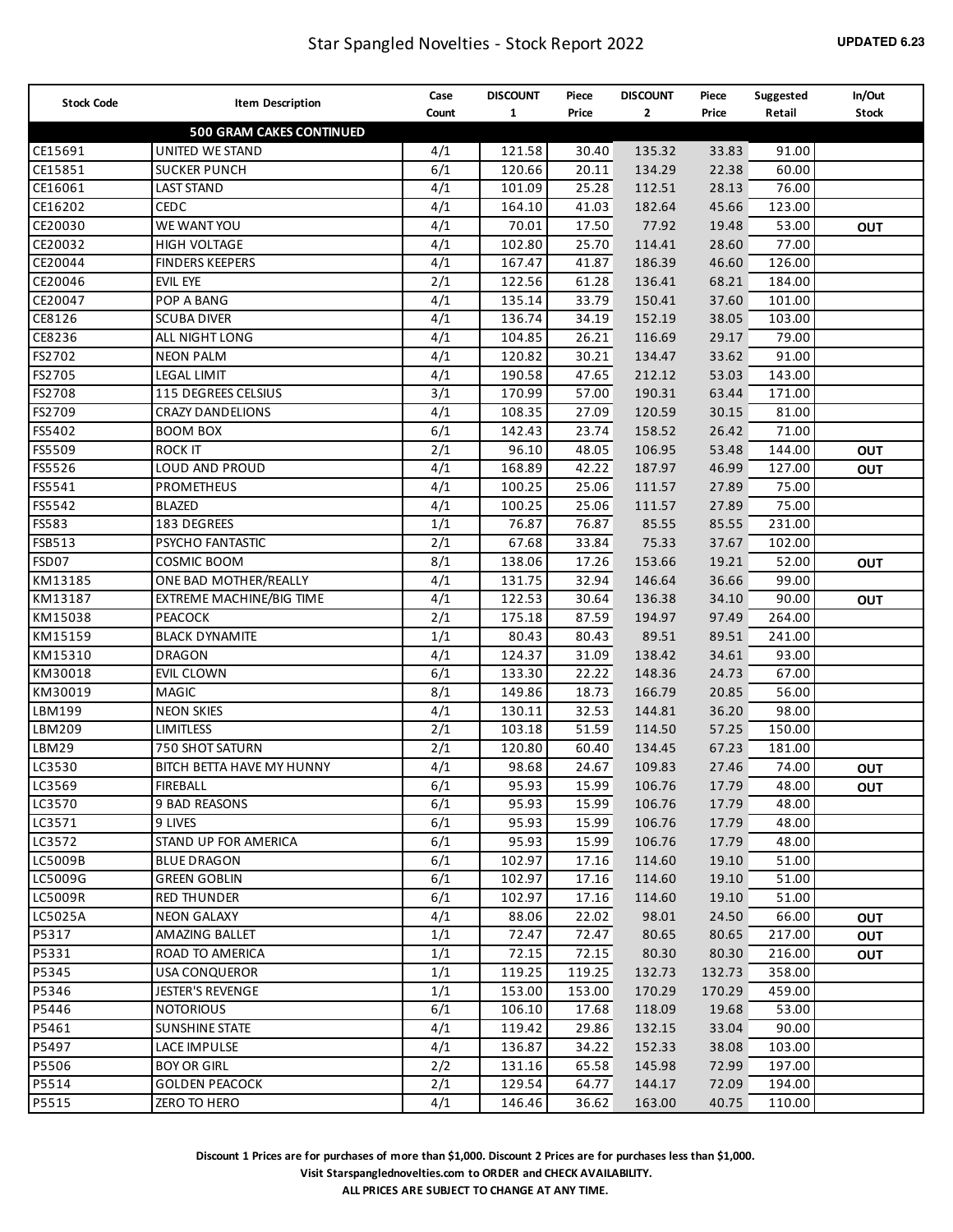| <b>Stock Code</b> | <b>Item Description</b>         | Case             | <b>DISCOUNT</b> | Piece  | <b>DISCOUNT</b> | Piece  | Suggested | In/Out       |
|-------------------|---------------------------------|------------------|-----------------|--------|-----------------|--------|-----------|--------------|
|                   |                                 | Count            | $\mathbf{1}$    | Price  | $\mathbf{2}$    | Price  | Retail    | <b>Stock</b> |
|                   | <b>500 GRAM CAKES CONTINUED</b> |                  |                 |        |                 |        |           |              |
| CE15691           | <b>UNITED WE STAND</b>          | 4/1              | 121.58          | 30.40  | 135.32          | 33.83  | 91.00     |              |
| CE15851           | <b>SUCKER PUNCH</b>             | 6/1              | 120.66          | 20.11  | 134.29          | 22.38  | 60.00     |              |
| CE16061           | <b>LAST STAND</b>               | 4/1              | 101.09          | 25.28  | 112.51          | 28.13  | 76.00     |              |
| CE16202           | CEDC                            | 4/1              | 164.10          | 41.03  | 182.64          | 45.66  | 123.00    |              |
| CE20030           | WE WANT YOU                     | 4/1              | 70.01           | 17.50  | 77.92           | 19.48  | 53.00     | <b>OUT</b>   |
| CE20032           | <b>HIGH VOLTAGE</b>             | 4/1              | 102.80          | 25.70  | 114.41          | 28.60  | 77.00     |              |
| CE20044           | <b>FINDERS KEEPERS</b>          | 4/1              | 167.47          | 41.87  | 186.39          | 46.60  | 126.00    |              |
| CE20046           | EVIL EYE                        | 2/1              | 122.56          | 61.28  | 136.41          | 68.21  | 184.00    |              |
| CE20047           | POP A BANG                      | 4/1              | 135.14          | 33.79  | 150.41          | 37.60  | 101.00    |              |
| CE8126            | <b>SCUBA DIVER</b>              | 4/1              | 136.74          | 34.19  | 152.19          | 38.05  | 103.00    |              |
| CE8236            | ALL NIGHT LONG                  | 4/1              | 104.85          | 26.21  | 116.69          | 29.17  | 79.00     |              |
| FS2702            | <b>NEON PALM</b>                | 4/1              | 120.82          | 30.21  | 134.47          | 33.62  | 91.00     |              |
| FS2705            | <b>LEGAL LIMIT</b>              | 4/1              | 190.58          | 47.65  | 212.12          | 53.03  | 143.00    |              |
| FS2708            | 115 DEGREES CELSIUS             | 3/1              | 170.99          | 57.00  | 190.31          | 63.44  | 171.00    |              |
| FS2709            | <b>CRAZY DANDELIONS</b>         | 4/1              | 108.35          | 27.09  | 120.59          | 30.15  | 81.00     |              |
| FS5402            | <b>BOOM BOX</b>                 | 6/1              | 142.43          | 23.74  | 158.52          | 26.42  | 71.00     |              |
| FS5509            | <b>ROCK IT</b>                  | 2/1              | 96.10           | 48.05  | 106.95          | 53.48  | 144.00    | <b>OUT</b>   |
| FS5526            | LOUD AND PROUD                  | 4/1              | 168.89          | 42.22  | 187.97          | 46.99  | 127.00    | <b>OUT</b>   |
| FS5541            | <b>PROMETHEUS</b>               | 4/1              | 100.25          | 25.06  | 111.57          | 27.89  | 75.00     |              |
| FS5542            | <b>BLAZED</b>                   | 4/1              | 100.25          | 25.06  | 111.57          | 27.89  | 75.00     |              |
| FS583             | 183 DEGREES                     | 1/1              | 76.87           | 76.87  | 85.55           | 85.55  | 231.00    |              |
| FSB513            | PSYCHO FANTASTIC                | 2/1              | 67.68           | 33.84  | 75.33           | 37.67  | 102.00    |              |
| FSD07             | <b>COSMIC BOOM</b>              | 8/1              | 138.06          | 17.26  | 153.66          | 19.21  | 52.00     | <b>OUT</b>   |
| KM13185           | ONE BAD MOTHER/REALLY           | 4/1              | 131.75          | 32.94  | 146.64          | 36.66  | 99.00     |              |
| KM13187           | EXTREME MACHINE/BIG TIME        | 4/1              | 122.53          | 30.64  | 136.38          | 34.10  | 90.00     | <b>OUT</b>   |
| KM15038           | PEACOCK                         | 2/1              | 175.18          | 87.59  | 194.97          | 97.49  | 264.00    |              |
| KM15159           | <b>BLACK DYNAMITE</b>           | 1/1              | 80.43           | 80.43  | 89.51           | 89.51  | 241.00    |              |
| KM15310           | <b>DRAGON</b>                   | 4/1              | 124.37          | 31.09  | 138.42          | 34.61  | 93.00     |              |
| KM30018           | EVIL CLOWN                      | 6/1              | 133.30          | 22.22  | 148.36          | 24.73  | 67.00     |              |
| KM30019           | <b>MAGIC</b>                    | 8/1              | 149.86          | 18.73  | 166.79          | 20.85  | 56.00     |              |
| LBM199            | <b>NEON SKIES</b>               | 4/1              | 130.11          | 32.53  | 144.81          | 36.20  | 98.00     |              |
| LBM209            | <b>LIMITLESS</b>                | 2/1              | 103.18          | 51.59  | 114.50          | 57.25  | 150.00    |              |
| LBM29             | 750 SHOT SATURN                 | 2/1              | 120.80          | 60.40  | 134.45          | 67.23  | 181.00    |              |
| LC3530            | BITCH BETTA HAVE MY HUNNY       | 4/1              | 98.68           | 24.67  | 109.83          | 27.46  | 74.00     | <b>OUT</b>   |
| LC3569            | <b>FIREBALL</b>                 | $\overline{6/1}$ | 95.93           | 15.99  | 106.76          | 17.79  | 48.00     | Ουτ          |
| LC3570            | 9 BAD REASONS                   | 6/1              | 95.93           | 15.99  | 106.76          | 17.79  | 48.00     |              |
| LC3571            | 9 LIVES                         | 6/1              | 95.93           | 15.99  | 106.76          | 17.79  | 48.00     |              |
| LC3572            | STAND UP FOR AMERICA            | 6/1              | 95.93           | 15.99  | 106.76          | 17.79  | 48.00     |              |
| LC5009B           | <b>BLUE DRAGON</b>              | 6/1              | 102.97          | 17.16  | 114.60          | 19.10  | 51.00     |              |
| LC5009G           | <b>GREEN GOBLIN</b>             | 6/1              | 102.97          | 17.16  | 114.60          | 19.10  | 51.00     |              |
| LC5009R           | <b>RED THUNDER</b>              | 6/1              | 102.97          | 17.16  | 114.60          | 19.10  | 51.00     |              |
| LC5025A           | <b>NEON GALAXY</b>              | 4/1              | 88.06           | 22.02  | 98.01           | 24.50  | 66.00     | <b>OUT</b>   |
| P5317             | AMAZING BALLET                  | 1/1              | 72.47           | 72.47  | 80.65           | 80.65  | 217.00    | <b>OUT</b>   |
| P5331             | ROAD TO AMERICA                 | 1/1              | 72.15           | 72.15  | 80.30           | 80.30  | 216.00    | Ουτ          |
| P5345             | <b>USA CONQUEROR</b>            | 1/1              | 119.25          | 119.25 | 132.73          | 132.73 | 358.00    |              |
| P5346             | <b>JESTER'S REVENGE</b>         | 1/1              | 153.00          | 153.00 | 170.29          | 170.29 | 459.00    |              |
| P5446             | <b>NOTORIOUS</b>                | 6/1              | 106.10          | 17.68  | 118.09          | 19.68  | 53.00     |              |
| P5461             | <b>SUNSHINE STATE</b>           | 4/1              | 119.42          | 29.86  | 132.15          | 33.04  | 90.00     |              |
| P5497             | LACE IMPULSE                    | 4/1              | 136.87          | 34.22  | 152.33          | 38.08  | 103.00    |              |
| P5506             | <b>BOY OR GIRL</b>              | 2/2              | 131.16          | 65.58  | 145.98          | 72.99  | 197.00    |              |
| P5514             | <b>GOLDEN PEACOCK</b>           | 2/1              | 129.54          | 64.77  | 144.17          | 72.09  | 194.00    |              |
| P5515             | ZERO TO HERO                    | 4/1              | 146.46          | 36.62  | 163.00          | 40.75  | 110.00    |              |

**Visit Starspanglednovelties.com to ORDER and CHECK AVAILABILITY.**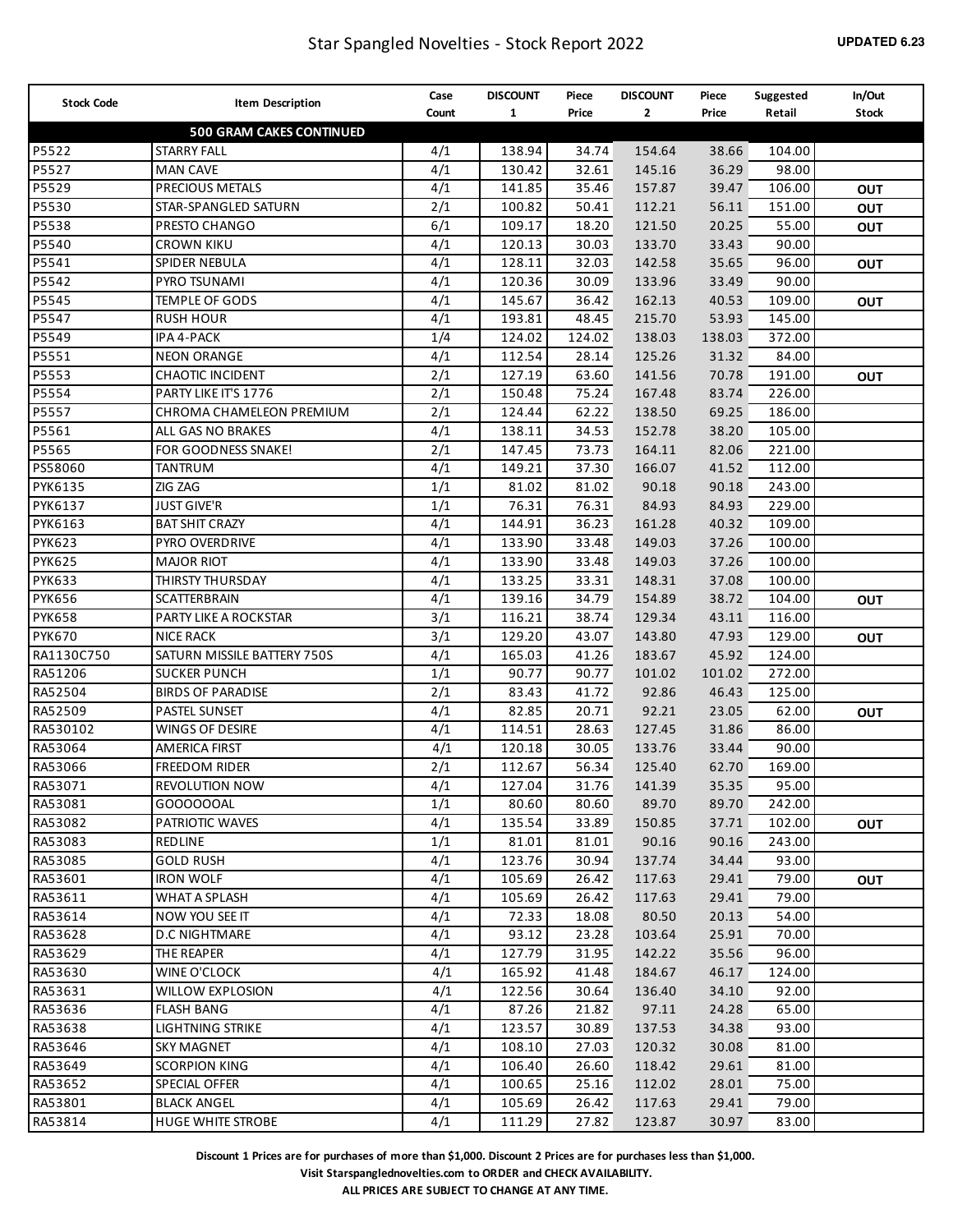| <b>Stock Code</b> |                                       | Case             | <b>DISCOUNT</b> | Piece              | <b>DISCOUNT</b> | Piece          | Suggested      | In/Out       |
|-------------------|---------------------------------------|------------------|-----------------|--------------------|-----------------|----------------|----------------|--------------|
|                   | <b>Item Description</b>               | Count            | $\mathbf{1}$    | Price              | $\mathbf{2}$    | Price          | Retail         | <b>Stock</b> |
|                   | <b>500 GRAM CAKES CONTINUED</b>       |                  |                 |                    |                 |                |                |              |
| P5522             | <b>STARRY FALL</b>                    | 4/1              | 138.94          | 34.74              | 154.64          | 38.66          | 104.00         |              |
| P5527             | <b>MAN CAVE</b>                       | 4/1              | 130.42          | 32.61              | 145.16          | 36.29          | 98.00          |              |
| P5529             | PRECIOUS METALS                       | 4/1              | 141.85          | 35.46              | 157.87          | 39.47          | 106.00         | OUT          |
| P5530             | STAR-SPANGLED SATURN                  | 2/1              | 100.82          | 50.41              | 112.21          | 56.11          | 151.00         | OUT          |
| P5538             | PRESTO CHANGO                         | 6/1              | 109.17          | 18.20              | 121.50          | 20.25          | 55.00          | OUT          |
| P5540             | <b>CROWN KIKU</b>                     | 4/1              | 120.13          | 30.03              | 133.70          | 33.43          | 90.00          |              |
| P5541             | SPIDER NEBULA                         | 4/1              | 128.11          | 32.03              | 142.58          | 35.65          | 96.00          | <b>OUT</b>   |
| P5542             | PYRO TSUNAMI                          | 4/1              | 120.36          | 30.09              | 133.96          | 33.49          | 90.00          |              |
| P5545             | <b>TEMPLE OF GODS</b>                 | 4/1              | 145.67          | 36.42              | 162.13          | 40.53          | 109.00         | <b>OUT</b>   |
| P5547             | <b>RUSH HOUR</b>                      | 4/1              | 193.81          | 48.45              | 215.70          | 53.93          | 145.00         |              |
| P5549             | IPA 4-PACK                            | 1/4              | 124.02          | 124.02             | 138.03          | 138.03         | 372.00         |              |
| P5551             | <b>NEON ORANGE</b>                    | 4/1              | 112.54          | 28.14              | 125.26          | 31.32          | 84.00          |              |
| P5553             | CHAOTIC INCIDENT                      | 2/1              | 127.19          | 63.60              | 141.56          | 70.78          | 191.00         | <b>OUT</b>   |
| P5554             | PARTY LIKE IT'S 1776                  | 2/1              | 150.48          | 75.24              | 167.48          | 83.74          | 226.00         |              |
| P5557             | CHROMA CHAMELEON PREMIUM              | 2/1              | 124.44          | 62.22              | 138.50          | 69.25          | 186.00         |              |
| P5561             | ALL GAS NO BRAKES                     | 4/1              | 138.11          | 34.53              | 152.78          | 38.20          | 105.00         |              |
| P5565             | FOR GOODNESS SNAKE!                   | 2/1              | 147.45          | 73.73              | 164.11          | 82.06          | 221.00         |              |
| PS58060           | TANTRUM                               | 4/1              | 149.21          | 37.30              | 166.07          | 41.52          | 112.00         |              |
| PYK6135           | ZIG ZAG                               | 1/1              | 81.02           | 81.02              | 90.18           | 90.18          | 243.00         |              |
| PYK6137           | <b>JUST GIVE'R</b>                    | 1/1              | 76.31           | 76.31              | 84.93           | 84.93          | 229.00         |              |
| PYK6163           | <b>BAT SHIT CRAZY</b>                 | 4/1              | 144.91          | 36.23              | 161.28          | 40.32          | 109.00         |              |
| <b>PYK623</b>     | PYRO OVERDRIVE                        | 4/1              | 133.90          | 33.48              | 149.03          | 37.26          | 100.00         |              |
| <b>PYK625</b>     | <b>MAJOR RIOT</b>                     | 4/1              | 133.90          | 33.48              | 149.03          | 37.26          | 100.00         |              |
| <b>PYK633</b>     | THIRSTY THURSDAY                      | 4/1              | 133.25          | 33.31              | 148.31          | 37.08          | 100.00         |              |
| <b>PYK656</b>     | SCATTERBRAIN                          | 4/1              | 139.16          | 34.79              | 154.89          | 38.72          | 104.00         | <b>OUT</b>   |
| <b>PYK658</b>     | PARTY LIKE A ROCKSTAR                 | 3/1              | 116.21          | 38.74              | 129.34          | 43.11          | 116.00         |              |
| <b>PYK670</b>     | <b>NICE RACK</b>                      | 3/1              | 129.20          | 43.07              | 143.80          | 47.93          | 129.00         | <b>OUT</b>   |
| RA1130C750        | SATURN MISSILE BATTERY 750S           | 4/1              | 165.03          | 41.26              | 183.67          | 45.92          | 124.00         |              |
| RA51206           | <b>SUCKER PUNCH</b>                   | 1/1              | 90.77           | 90.77              | 101.02          | 101.02         | 272.00         |              |
| RA52504           | <b>BIRDS OF PARADISE</b>              | 2/1              | 83.43           | 41.72              | 92.86           | 46.43          | 125.00         |              |
| RA52509           | <b>PASTEL SUNSET</b>                  | 4/1              | 82.85           | 20.71              | 92.21           | 23.05          | 62.00          | OUT          |
| RA530102          | WINGS OF DESIRE                       | 4/1              | 114.51          | 28.63              | 127.45          | 31.86          | 86.00          |              |
| RA53064           | <b>AMERICA FIRST</b>                  | 4/1              | 120.18          | 30.05              | 133.76          | 33.44          | 90.00          |              |
| RA53066           | <b>FREEDOM RIDER</b>                  | 2/1              | 112.67          | 56.34              | 125.40          | 62.70          | 169.00         |              |
| RA53071           | <b>REVOLUTION NOW</b>                 | $\overline{4/1}$ | 127.04          | $\overline{31.76}$ | 141.39          | 35.35          | 95.00          |              |
| RA53081           | GO00000AL                             | 1/1              | 80.60           | 80.60              | 89.70           | 89.70          | 242.00         |              |
| RA53082           | PATRIOTIC WAVES                       | 4/1              | 135.54          | 33.89              | 150.85          | 37.71          | 102.00         | <b>OUT</b>   |
| RA53083           | REDLINE                               | 1/1              | 81.01           | 81.01              | 90.16           | 90.16          | 243.00         |              |
| RA53085           | <b>GOLD RUSH</b>                      | 4/1              | 123.76          | 30.94              | 137.74          | 34.44          | 93.00          |              |
| RA53601           | <b>IRON WOLF</b>                      | 4/1              | 105.69          | 26.42              | 117.63          | 29.41          | 79.00          | <b>OUT</b>   |
| RA53611           | WHAT A SPLASH                         | 4/1              | 105.69          | 26.42              | 117.63          | 29.41          | 79.00          |              |
| RA53614           | NOW YOU SEE IT                        | 4/1              | 72.33           | 18.08              | 80.50           | 20.13          | 54.00          |              |
| RA53628           | <b>D.C NIGHTMARE</b>                  | 4/1              | 93.12           | 23.28              | 103.64          | 25.91          | 70.00          |              |
| RA53629           | THE REAPER                            | 4/1              | 127.79          | 31.95              | 142.22          | 35.56          | 96.00          |              |
| RA53630           | WINE O'CLOCK                          | 4/1              | 165.92          | 41.48              | 184.67          | 46.17          | 124.00         |              |
| RA53631           | <b>WILLOW EXPLOSION</b>               | 4/1              | 122.56          | 30.64              | 136.40          | 34.10          | 92.00          |              |
|                   |                                       |                  |                 |                    |                 |                |                |              |
| RA53636           | <b>FLASH BANG</b><br>LIGHTNING STRIKE | 4/1<br>4/1       | 87.26<br>123.57 | 21.82<br>30.89     | 97.11           | 24.28<br>34.38 | 65.00<br>93.00 |              |
| RA53638           | <b>SKY MAGNET</b>                     | 4/1              | 108.10          | 27.03              | 137.53          | 30.08          | 81.00          |              |
| RA53646           |                                       |                  |                 |                    | 120.32          |                |                |              |
| RA53649           | <b>SCORPION KING</b>                  | 4/1              | 106.40          | 26.60              | 118.42          | 29.61          | 81.00          |              |
| RA53652           | SPECIAL OFFER                         | 4/1              | 100.65          | 25.16              | 112.02          | 28.01          | 75.00          |              |
| RA53801           | <b>BLACK ANGEL</b>                    | 4/1              | 105.69          | 26.42              | 117.63          | 29.41          | 79.00          |              |
| RA53814           | <b>HUGE WHITE STROBE</b>              | 4/1              | 111.29          | 27.82              | 123.87          | 30.97          | 83.00          |              |

**Visit Starspanglednovelties.com to ORDER and CHECK AVAILABILITY.**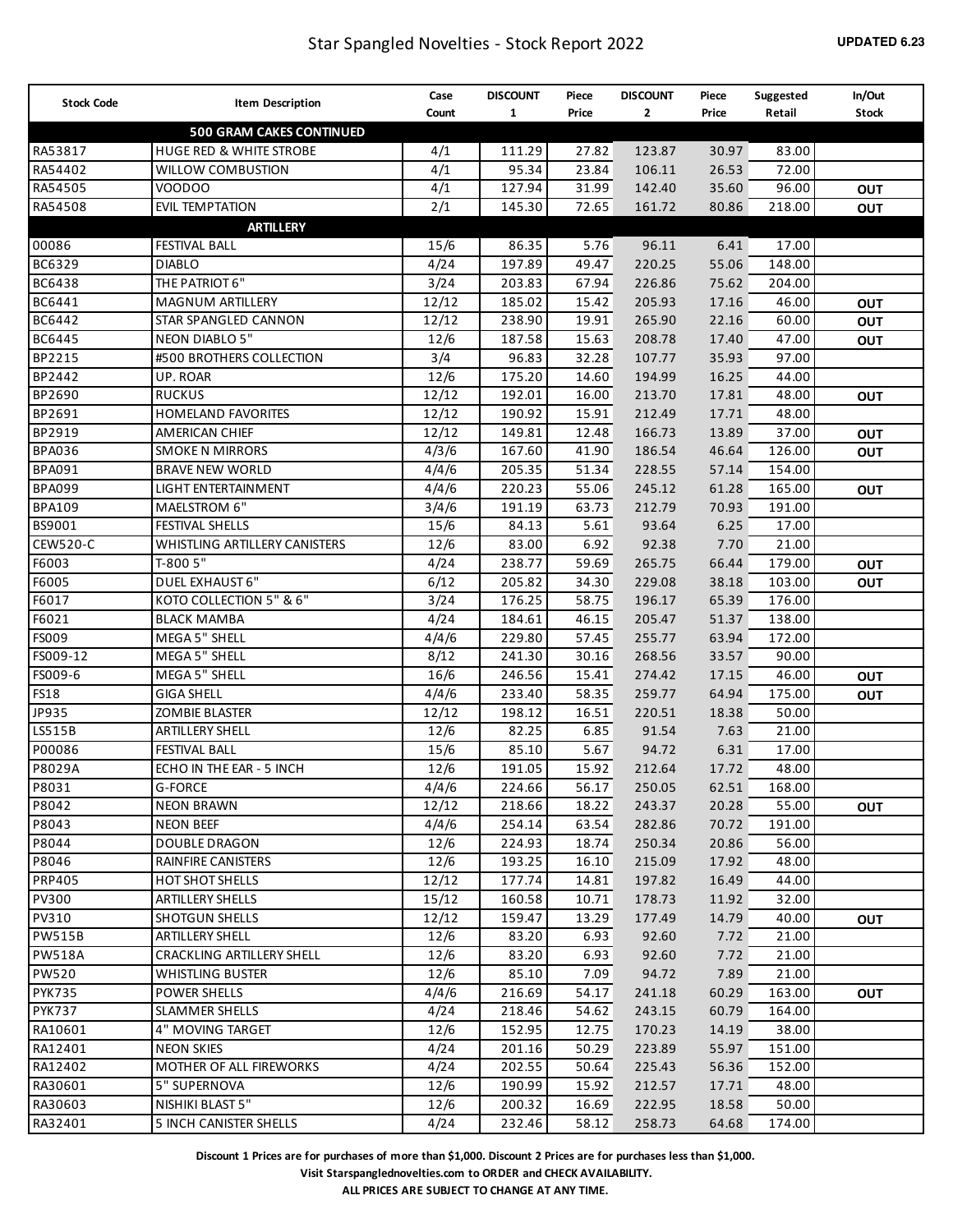| <b>Stock Code</b> | Item Description                   | Case  | <b>DISCOUNT</b> | Piece | <b>DISCOUNT</b> | Piece | Suggested | In/Out       |
|-------------------|------------------------------------|-------|-----------------|-------|-----------------|-------|-----------|--------------|
|                   |                                    | Count | $\mathbf{1}$    | Price | $\mathbf{2}$    | Price | Retail    | <b>Stock</b> |
|                   | <b>500 GRAM CAKES CONTINUED</b>    |       |                 |       |                 |       |           |              |
| RA53817           | <b>HUGE RED &amp; WHITE STROBE</b> | 4/1   | 111.29          | 27.82 | 123.87          | 30.97 | 83.00     |              |
| RA54402           | <b>WILLOW COMBUSTION</b>           | 4/1   | 95.34           | 23.84 | 106.11          | 26.53 | 72.00     |              |
| RA54505           | VOODOO                             | 4/1   | 127.94          | 31.99 | 142.40          | 35.60 | 96.00     | <b>OUT</b>   |
| RA54508           | <b>EVIL TEMPTATION</b>             | 2/1   | 145.30          | 72.65 | 161.72          | 80.86 | 218.00    | OUT          |
|                   | <b>ARTILLERY</b>                   |       |                 |       |                 |       |           |              |
| 00086             | <b>FESTIVAL BALL</b>               | 15/6  | 86.35           | 5.76  | 96.11           | 6.41  | 17.00     |              |
| BC6329            | <b>DIABLO</b>                      | 4/24  | 197.89          | 49.47 | 220.25          | 55.06 | 148.00    |              |
| <b>BC6438</b>     | THE PATRIOT 6"                     | 3/24  | 203.83          | 67.94 | 226.86          | 75.62 | 204.00    |              |
| BC6441            | <b>MAGNUM ARTILLERY</b>            | 12/12 | 185.02          | 15.42 | 205.93          | 17.16 | 46.00     | OUT          |
| BC6442            | STAR SPANGLED CANNON               | 12/12 | 238.90          | 19.91 | 265.90          | 22.16 | 60.00     | <b>OUT</b>   |
| BC6445            | <b>NEON DIABLO 5"</b>              | 12/6  | 187.58          | 15.63 | 208.78          | 17.40 | 47.00     | <b>OUT</b>   |
| BP2215            | #500 BROTHERS COLLECTION           | 3/4   | 96.83           | 32.28 | 107.77          | 35.93 | 97.00     |              |
| BP2442            | UP. ROAR                           | 12/6  | 175.20          | 14.60 | 194.99          | 16.25 | 44.00     |              |
| BP2690            | <b>RUCKUS</b>                      | 12/12 | 192.01          | 16.00 | 213.70          | 17.81 | 48.00     | OUT          |
| BP2691            | <b>HOMELAND FAVORITES</b>          | 12/12 | 190.92          | 15.91 | 212.49          | 17.71 | 48.00     |              |
| BP2919            | <b>AMERICAN CHIEF</b>              | 12/12 | 149.81          | 12.48 | 166.73          | 13.89 | 37.00     | OUT          |
| <b>BPA036</b>     | <b>SMOKE N MIRRORS</b>             | 4/3/6 | 167.60          | 41.90 | 186.54          | 46.64 | 126.00    | OUT          |
| <b>BPA091</b>     | <b>BRAVE NEW WORLD</b>             | 4/4/6 | 205.35          | 51.34 | 228.55          | 57.14 | 154.00    |              |
| <b>BPA099</b>     | LIGHT ENTERTAINMENT                | 4/4/6 | 220.23          | 55.06 | 245.12          | 61.28 | 165.00    | OUT          |
| <b>BPA109</b>     | MAELSTROM 6"                       | 3/4/6 | 191.19          | 63.73 | 212.79          | 70.93 | 191.00    |              |
| BS9001            | <b>FESTIVAL SHELLS</b>             | 15/6  | 84.13           | 5.61  | 93.64           | 6.25  | 17.00     |              |
| CEW520-C          | WHISTLING ARTILLERY CANISTERS      | 12/6  | 83.00           | 6.92  | 92.38           | 7.70  | 21.00     |              |
| F6003             | T-800 5"                           | 4/24  | 238.77          | 59.69 | 265.75          | 66.44 | 179.00    | OUT          |
| F6005             | <b>DUEL EXHAUST 6"</b>             | 6/12  | 205.82          | 34.30 | 229.08          | 38.18 | 103.00    | <b>OUT</b>   |
| F6017             | KOTO COLLECTION 5" & 6"            | 3/24  | 176.25          | 58.75 | 196.17          | 65.39 | 176.00    |              |
| F6021             | <b>BLACK MAMBA</b>                 | 4/24  | 184.61          | 46.15 | 205.47          | 51.37 | 138.00    |              |
| <b>FS009</b>      | MEGA 5" SHELL                      | 4/4/6 | 229.80          | 57.45 | 255.77          | 63.94 | 172.00    |              |
| FS009-12          | <b>MEGA 5" SHELL</b>               | 8/12  | 241.30          | 30.16 | 268.56          | 33.57 | 90.00     |              |
| FS009-6           | MEGA 5" SHELL                      | 16/6  | 246.56          | 15.41 | 274.42          | 17.15 | 46.00     | OUT          |
| <b>FS18</b>       | <b>GIGA SHELL</b>                  | 4/4/6 | 233.40          | 58.35 | 259.77          | 64.94 | 175.00    | <b>OUT</b>   |
| JP935             | <b>ZOMBIE BLASTER</b>              | 12/12 | 198.12          | 16.51 | 220.51          | 18.38 | 50.00     |              |
| LS515B            | <b>ARTILLERY SHELL</b>             | 12/6  | 82.25           | 6.85  | 91.54           | 7.63  | 21.00     |              |
| P00086            | <b>FESTIVAL BALL</b>               | 15/6  | 85.10           | 5.67  | 94.72           | 6.31  | 17.00     |              |
| P8029A            | ECHO IN THE EAR - 5 INCH           | 12/6  | 191.05          | 15.92 | 212.64          | 17.72 | 48.00     |              |
| P8031             | <b>G-FORCE</b>                     | 4/4/6 | 224.66          | 56.17 | 250.05          | 62.51 | 168.00    |              |
| P8042             | <b>NEON BRAWN</b>                  | 12/12 | 218.66          | 18.22 | 243.37          | 20.28 | 55.00     | <b>OUT</b>   |
| P8043             | <b>NEON BEEF</b>                   | 4/4/6 | 254.14          | 63.54 | 282.86          | 70.72 | 191.00    |              |
| P8044             | <b>DOUBLE DRAGON</b>               | 12/6  | 224.93          | 18.74 | 250.34          | 20.86 | 56.00     |              |
| P8046             | <b>RAINFIRE CANISTERS</b>          | 12/6  | 193.25          | 16.10 | 215.09          | 17.92 | 48.00     |              |
| <b>PRP405</b>     | <b>HOT SHOT SHELLS</b>             | 12/12 | 177.74          | 14.81 | 197.82          | 16.49 | 44.00     |              |
| <b>PV300</b>      | <b>ARTILLERY SHELLS</b>            | 15/12 | 160.58          | 10.71 | 178.73          | 11.92 | 32.00     |              |
| <b>PV310</b>      | <b>SHOTGUN SHELLS</b>              | 12/12 | 159.47          | 13.29 | 177.49          | 14.79 | 40.00     | <b>OUT</b>   |
| <b>PW515B</b>     | <b>ARTILLERY SHELL</b>             | 12/6  | 83.20           | 6.93  | 92.60           | 7.72  | 21.00     |              |
| <b>PW518A</b>     | <b>CRACKLING ARTILLERY SHELL</b>   | 12/6  | 83.20           | 6.93  | 92.60           | 7.72  | 21.00     |              |
| <b>PW520</b>      | <b>WHISTLING BUSTER</b>            | 12/6  | 85.10           | 7.09  | 94.72           | 7.89  | 21.00     |              |
| <b>PYK735</b>     | <b>POWER SHELLS</b>                | 4/4/6 | 216.69          | 54.17 | 241.18          | 60.29 | 163.00    | <b>OUT</b>   |
| <b>PYK737</b>     | <b>SLAMMER SHELLS</b>              | 4/24  | 218.46          | 54.62 | 243.15          | 60.79 | 164.00    |              |
| RA10601           | 4" MOVING TARGET                   | 12/6  | 152.95          | 12.75 | 170.23          | 14.19 | 38.00     |              |
| RA12401           | <b>NEON SKIES</b>                  | 4/24  | 201.16          | 50.29 | 223.89          | 55.97 | 151.00    |              |
| RA12402           | MOTHER OF ALL FIREWORKS            | 4/24  | 202.55          | 50.64 | 225.43          | 56.36 | 152.00    |              |
| RA30601           | 5" SUPERNOVA                       | 12/6  | 190.99          | 15.92 | 212.57          | 17.71 | 48.00     |              |
| RA30603           | NISHIKI BLAST 5"                   | 12/6  | 200.32          | 16.69 | 222.95          | 18.58 | 50.00     |              |
| RA32401           | 5 INCH CANISTER SHELLS             | 4/24  | 232.46          | 58.12 | 258.73          | 64.68 | 174.00    |              |

**Visit Starspanglednovelties.com to ORDER and CHECK AVAILABILITY.**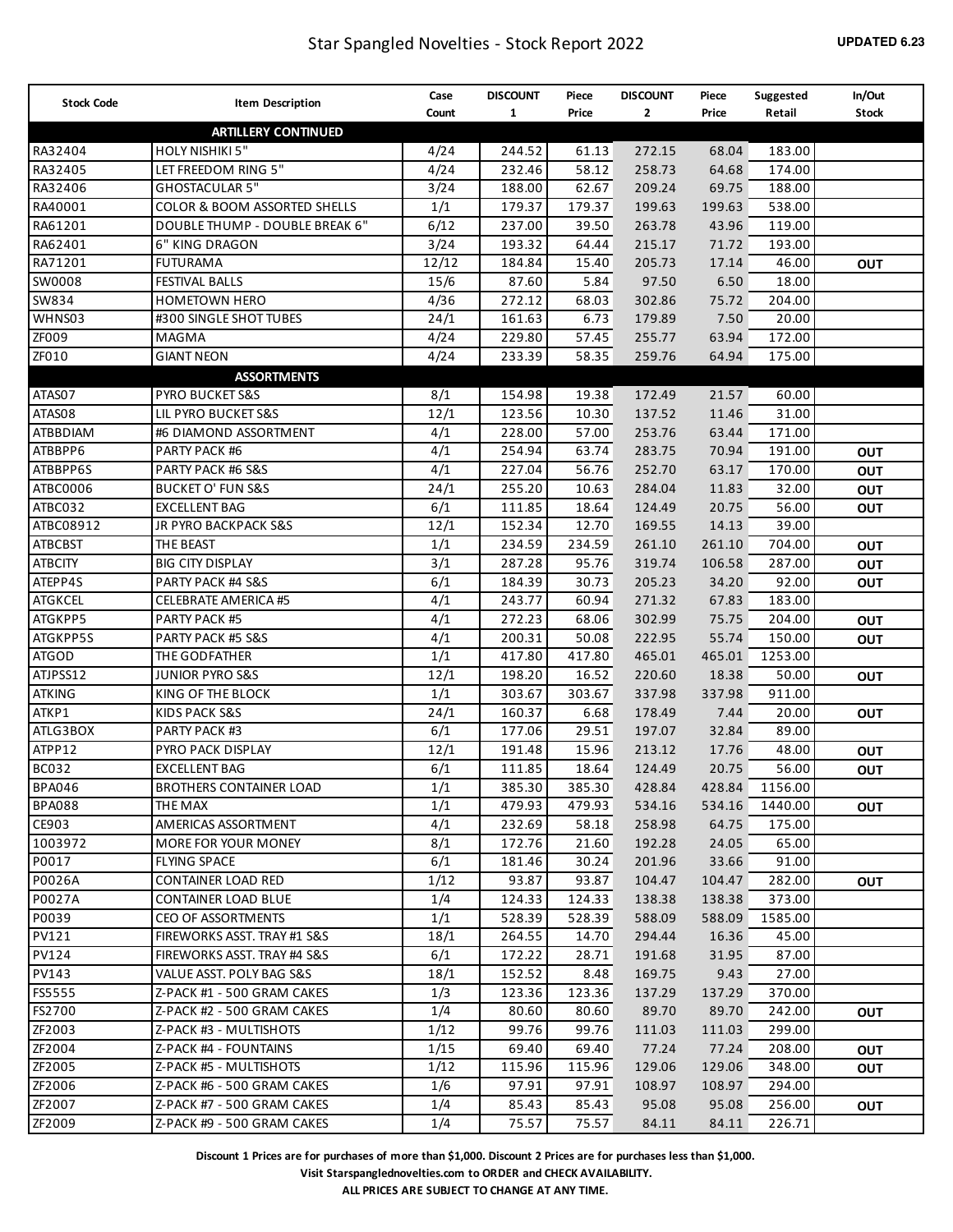| <b>Stock Code</b> | <b>Item Description</b>        | Case  | <b>DISCOUNT</b> | Piece  | <b>DISCOUNT</b> | Piece  | Suggested | In/Out       |
|-------------------|--------------------------------|-------|-----------------|--------|-----------------|--------|-----------|--------------|
|                   |                                | Count | $\mathbf{1}$    | Price  | $\mathbf{2}$    | Price  | Retail    | <b>Stock</b> |
|                   | <b>ARTILLERY CONTINUED</b>     |       |                 |        |                 |        |           |              |
| RA32404           | HOLY NISHIKI 5"                | 4/24  | 244.52          | 61.13  | 272.15          | 68.04  | 183.00    |              |
| RA32405           | LET FREEDOM RING 5"            | 4/24  | 232.46          | 58.12  | 258.73          | 64.68  | 174.00    |              |
| RA32406           | <b>GHOSTACULAR 5"</b>          | 3/24  | 188.00          | 62.67  | 209.24          | 69.75  | 188.00    |              |
| RA40001           | COLOR & BOOM ASSORTED SHELLS   | 1/1   | 179.37          | 179.37 | 199.63          | 199.63 | 538.00    |              |
| RA61201           | DOUBLE THUMP - DOUBLE BREAK 6" | 6/12  | 237.00          | 39.50  | 263.78          | 43.96  | 119.00    |              |
| RA62401           | 6" KING DRAGON                 | 3/24  | 193.32          | 64.44  | 215.17          | 71.72  | 193.00    |              |
| RA71201           | <b>FUTURAMA</b>                | 12/12 | 184.84          | 15.40  | 205.73          | 17.14  | 46.00     | Ουτ          |
| SW0008            | <b>FESTIVAL BALLS</b>          | 15/6  | 87.60           | 5.84   | 97.50           | 6.50   | 18.00     |              |
| SW834             | <b>HOMETOWN HERO</b>           | 4/36  | 272.12          | 68.03  | 302.86          | 75.72  | 204.00    |              |
| WHNS03            | #300 SINGLE SHOT TUBES         | 24/1  | 161.63          | 6.73   | 179.89          | 7.50   | 20.00     |              |
| ZF009             | MAGMA                          | 4/24  | 229.80          | 57.45  | 255.77          | 63.94  | 172.00    |              |
| ZF010             | <b>GIANT NEON</b>              | 4/24  | 233.39          | 58.35  | 259.76          | 64.94  | 175.00    |              |
|                   | <b>ASSORTMENTS</b>             |       |                 |        |                 |        |           |              |
| ATAS07            | <b>PYRO BUCKET S&amp;S</b>     | 8/1   | 154.98          | 19.38  | 172.49          | 21.57  | 60.00     |              |
| ATAS08            | LIL PYRO BUCKET S&S            | 12/1  | 123.56          | 10.30  | 137.52          | 11.46  | 31.00     |              |
| ATBBDIAM          | #6 DIAMOND ASSORTMENT          | 4/1   | 228.00          | 57.00  | 253.76          | 63.44  | 171.00    |              |
| ATBBPP6           | PARTY PACK #6                  | 4/1   | 254.94          | 63.74  | 283.75          | 70.94  | 191.00    | <b>OUT</b>   |
| ATBBPP6S          | PARTY PACK #6 S&S              | 4/1   | 227.04          | 56.76  | 252.70          | 63.17  | 170.00    | <b>OUT</b>   |
| ATBC0006          | <b>BUCKET O' FUN S&amp;S</b>   | 24/1  | 255.20          | 10.63  | 284.04          | 11.83  | 32.00     | <b>OUT</b>   |
| ATBC032           | EXCELLENT BAG                  | 6/1   | 111.85          | 18.64  | 124.49          | 20.75  | 56.00     | <b>OUT</b>   |
| ATBC08912         | JR PYRO BACKPACK S&S           | 12/1  | 152.34          | 12.70  | 169.55          | 14.13  | 39.00     |              |
| <b>ATBCBST</b>    | THE BEAST                      | 1/1   | 234.59          | 234.59 | 261.10          | 261.10 | 704.00    | <b>OUT</b>   |
| <b>ATBCITY</b>    | <b>BIG CITY DISPLAY</b>        | 3/1   | 287.28          | 95.76  | 319.74          | 106.58 | 287.00    | <b>OUT</b>   |
| ATEPP4S           | PARTY PACK #4 S&S              | 6/1   | 184.39          | 30.73  | 205.23          | 34.20  | 92.00     | <b>OUT</b>   |
| <b>ATGKCEL</b>    | <b>CELEBRATE AMERICA #5</b>    | 4/1   | 243.77          | 60.94  | 271.32          | 67.83  | 183.00    |              |
| ATGKPP5           | PARTY PACK #5                  | 4/1   | 272.23          | 68.06  | 302.99          | 75.75  | 204.00    | <b>OUT</b>   |
| ATGKPP5S          | PARTY PACK #5 S&S              | 4/1   | 200.31          | 50.08  | 222.95          | 55.74  | 150.00    | <b>OUT</b>   |
| <b>ATGOD</b>      | THE GODFATHER                  | 1/1   | 417.80          | 417.80 | 465.01          | 465.01 | 1253.00   |              |
| ATJPSS12          | <b>JUNIOR PYRO S&amp;S</b>     | 12/1  | 198.20          | 16.52  | 220.60          | 18.38  | 50.00     | <b>OUT</b>   |
| <b>ATKING</b>     | KING OF THE BLOCK              | 1/1   | 303.67          | 303.67 | 337.98          | 337.98 | 911.00    |              |
| ATKP1             | KIDS PACK S&S                  | 24/1  | 160.37          | 6.68   | 178.49          | 7.44   | 20.00     | <b>OUT</b>   |
| ATLG3BOX          | PARTY PACK #3                  | 6/1   | 177.06          | 29.51  | 197.07          | 32.84  | 89.00     |              |
| ATPP12            | PYRO PACK DISPLAY              | 12/1  | 191.48          | 15.96  | 213.12          | 17.76  | 48.00     | <b>OUT</b>   |
| <b>BC032</b>      | <b>EXCELLENT BAG</b>           | 6/1   | 111.85          | 18.64  | 124.49          | 20.75  | 56.00     | <b>OUT</b>   |
| BPA046            | <b>BROTHERS CONTAINER LOAD</b> | 1/1   | 385.30          | 385.30 | 428.84          | 428.84 | 1156.00   |              |
| <b>BPA088</b>     | THE MAX                        | 1/1   | 479.93          | 479.93 | 534.16          | 534.16 | 1440.00   | <b>OUT</b>   |
| CE903             | AMERICAS ASSORTMENT            | 4/1   | 232.69          | 58.18  | 258.98          | 64.75  | 175.00    |              |
| 1003972           | MORE FOR YOUR MONEY            | 8/1   | 172.76          | 21.60  | 192.28          | 24.05  | 65.00     |              |
| P0017             | <b>FLYING SPACE</b>            | 6/1   | 181.46          | 30.24  | 201.96          | 33.66  | 91.00     |              |
| P0026A            | <b>CONTAINER LOAD RED</b>      | 1/12  | 93.87           | 93.87  | 104.47          | 104.47 | 282.00    | <b>OUT</b>   |
| P0027A            | <b>CONTAINER LOAD BLUE</b>     | 1/4   | 124.33          | 124.33 | 138.38          | 138.38 | 373.00    |              |
| P0039             | <b>CEO OF ASSORTMENTS</b>      | 1/1   | 528.39          | 528.39 | 588.09          | 588.09 | 1585.00   |              |
| <b>PV121</b>      | FIREWORKS ASST. TRAY #1 S&S    | 18/1  | 264.55          | 14.70  | 294.44          | 16.36  | 45.00     |              |
| <b>PV124</b>      | FIREWORKS ASST. TRAY #4 S&S    | 6/1   | 172.22          | 28.71  | 191.68          | 31.95  | 87.00     |              |
| <b>PV143</b>      | VALUE ASST. POLY BAG S&S       | 18/1  | 152.52          | 8.48   | 169.75          | 9.43   | 27.00     |              |
| FS5555            | Z-PACK #1 - 500 GRAM CAKES     | 1/3   | 123.36          | 123.36 | 137.29          | 137.29 | 370.00    |              |
| FS2700            | Z-PACK #2 - 500 GRAM CAKES     | 1/4   | 80.60           | 80.60  | 89.70           | 89.70  | 242.00    | <b>OUT</b>   |
| ZF2003            | Z-PACK #3 - MULTISHOTS         | 1/12  | 99.76           | 99.76  | 111.03          | 111.03 | 299.00    |              |
| ZF2004            | Z-PACK #4 - FOUNTAINS          | 1/15  | 69.40           | 69.40  | 77.24           | 77.24  | 208.00    | <b>OUT</b>   |
| ZF2005            | Z-PACK #5 - MULTISHOTS         | 1/12  | 115.96          | 115.96 | 129.06          | 129.06 | 348.00    | OUT          |
| ZF2006            | Z-PACK #6 - 500 GRAM CAKES     | 1/6   | 97.91           | 97.91  | 108.97          | 108.97 | 294.00    |              |
| ZF2007            | Z-PACK #7 - 500 GRAM CAKES     | 1/4   | 85.43           | 85.43  | 95.08           | 95.08  | 256.00    | <b>OUT</b>   |
| ZF2009            | Z-PACK #9 - 500 GRAM CAKES     | 1/4   | 75.57           | 75.57  | 84.11           | 84.11  | 226.71    |              |

**Visit Starspanglednovelties.com to ORDER and CHECK AVAILABILITY.**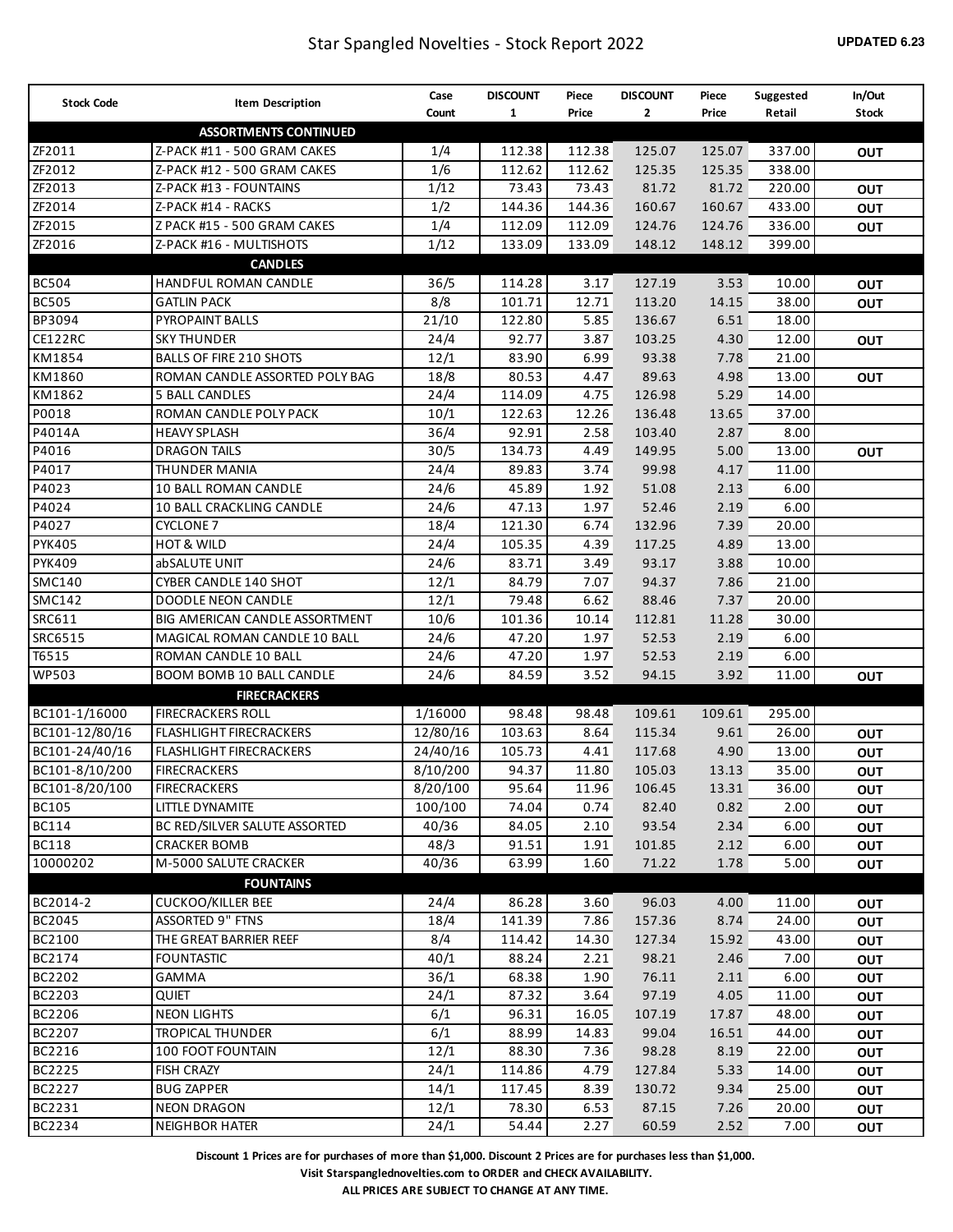| <b>Stock Code</b> | <b>Item Description</b>        | Case     | <b>DISCOUNT</b> | Piece  | <b>DISCOUNT</b> | Piece  | Suggested | In/Out       |
|-------------------|--------------------------------|----------|-----------------|--------|-----------------|--------|-----------|--------------|
|                   |                                | Count    | $\mathbf{1}$    | Price  | $\mathbf{2}$    | Price  | Retail    | <b>Stock</b> |
|                   | <b>ASSORTMENTS CONTINUED</b>   |          |                 |        |                 |        |           |              |
| ZF2011            | Z-PACK #11 - 500 GRAM CAKES    | 1/4      | 112.38          | 112.38 | 125.07          | 125.07 | 337.00    | <b>OUT</b>   |
| ZF2012            | Z-PACK #12 - 500 GRAM CAKES    | 1/6      | 112.62          | 112.62 | 125.35          | 125.35 | 338.00    |              |
| ZF2013            | Z-PACK #13 - FOUNTAINS         | 1/12     | 73.43           | 73.43  | 81.72           | 81.72  | 220.00    | OUT          |
| ZF2014            | Z-PACK #14 - RACKS             | 1/2      | 144.36          | 144.36 | 160.67          | 160.67 | 433.00    | OUT          |
| ZF2015            | Z PACK #15 - 500 GRAM CAKES    | 1/4      | 112.09          | 112.09 | 124.76          | 124.76 | 336.00    | <b>OUT</b>   |
| ZF2016            | Z-PACK #16 - MULTISHOTS        | 1/12     | 133.09          | 133.09 | 148.12          | 148.12 | 399.00    |              |
|                   | <b>CANDLES</b>                 |          |                 |        |                 |        |           |              |
| <b>BC504</b>      | HANDFUL ROMAN CANDLE           | 36/5     | 114.28          | 3.17   | 127.19          | 3.53   | 10.00     | <b>OUT</b>   |
| <b>BC505</b>      | <b>GATLIN PACK</b>             | 8/8      | 101.71          | 12.71  | 113.20          | 14.15  | 38.00     | <b>OUT</b>   |
| BP3094            | PYROPAINT BALLS                | 21/10    | 122.80          | 5.85   | 136.67          | 6.51   | 18.00     |              |
| CE122RC           | <b>SKY THUNDER</b>             | 24/4     | 92.77           | 3.87   | 103.25          | 4.30   | 12.00     | <b>OUT</b>   |
| KM1854            | <b>BALLS OF FIRE 210 SHOTS</b> | 12/1     | 83.90           | 6.99   | 93.38           | 7.78   | 21.00     |              |
| KM1860            | ROMAN CANDLE ASSORTED POLY BAG | 18/8     | 80.53           | 4.47   | 89.63           | 4.98   | 13.00     | <b>OUT</b>   |
| KM1862            | 5 BALL CANDLES                 | 24/4     | 114.09          | 4.75   | 126.98          | 5.29   | 14.00     |              |
| P0018             | ROMAN CANDLE POLY PACK         | 10/1     | 122.63          | 12.26  | 136.48          | 13.65  | 37.00     |              |
| P4014A            | <b>HEAVY SPLASH</b>            | 36/4     | 92.91           | 2.58   | 103.40          | 2.87   | 8.00      |              |
| P4016             | <b>DRAGON TAILS</b>            | 30/5     | 134.73          | 4.49   | 149.95          | 5.00   | 13.00     | <b>OUT</b>   |
| P4017             | THUNDER MANIA                  | 24/4     | 89.83           | 3.74   | 99.98           | 4.17   | 11.00     |              |
| P4023             | 10 BALL ROMAN CANDLE           | 24/6     | 45.89           | 1.92   | 51.08           | 2.13   | 6.00      |              |
| P4024             | 10 BALL CRACKLING CANDLE       | 24/6     | 47.13           | 1.97   | 52.46           | 2.19   | 6.00      |              |
| P4027             | <b>CYCLONE 7</b>               | 18/4     | 121.30          | 6.74   | 132.96          | 7.39   | 20.00     |              |
| <b>PYK405</b>     | <b>HOT &amp; WILD</b>          | 24/4     | 105.35          | 4.39   | 117.25          | 4.89   | 13.00     |              |
| <b>PYK409</b>     | abSALUTE UNIT                  | 24/6     | 83.71           | 3.49   | 93.17           | 3.88   | 10.00     |              |
| <b>SMC140</b>     | CYBER CANDLE 140 SHOT          | 12/1     | 84.79           | 7.07   | 94.37           | 7.86   | 21.00     |              |
| <b>SMC142</b>     | <b>DOODLE NEON CANDLE</b>      | 12/1     | 79.48           | 6.62   | 88.46           | 7.37   | 20.00     |              |
| SRC611            | BIG AMERICAN CANDLE ASSORTMENT | 10/6     | 101.36          | 10.14  | 112.81          | 11.28  | 30.00     |              |
| SRC6515           | MAGICAL ROMAN CANDLE 10 BALL   | 24/6     | 47.20           | 1.97   | 52.53           | 2.19   | 6.00      |              |
| T6515             | ROMAN CANDLE 10 BALL           | 24/6     | 47.20           | 1.97   | 52.53           | 2.19   | 6.00      |              |
| <b>WP503</b>      | BOOM BOMB 10 BALL CANDLE       | 24/6     | 84.59           | 3.52   | 94.15           | 3.92   | 11.00     | <b>OUT</b>   |
|                   | <b>FIRECRACKERS</b>            |          |                 |        |                 |        |           |              |
| BC101-1/16000     | <b>FIRECRACKERS ROLL</b>       | 1/16000  | 98.48           | 98.48  | 109.61          | 109.61 | 295.00    |              |
| BC101-12/80/16    | <b>FLASHLIGHT FIRECRACKERS</b> | 12/80/16 | 103.63          | 8.64   | 115.34          | 9.61   | 26.00     | OUT          |
| BC101-24/40/16    | <b>FLASHLIGHT FIRECRACKERS</b> | 24/40/16 | 105.73          | 4.41   | 117.68          | 4.90   | 13.00     | <b>OUT</b>   |
| BC101-8/10/200    | <b>FIRECRACKERS</b>            | 8/10/200 | 94.37           | 11.80  | 105.03          | 13.13  | 35.00     | OUT          |
| BC101-8/20/100    | <b>FIRECRACKERS</b>            | 8/20/100 | 95.64           | 11.96  | 106.45          | 13.31  | 36.00     | OUT          |
| <b>BC105</b>      | LITTLE DYNAMITE                | 100/100  | 74.04           | 0.74   | 82.40           | 0.82   | 2.00      | OUT          |
| BC114             | BC RED/SILVER SALUTE ASSORTED  | 40/36    | 84.05           | 2.10   | 93.54           | 2.34   | 6.00      | <b>OUT</b>   |
| <b>BC118</b>      | <b>CRACKER BOMB</b>            | 48/3     | 91.51           | 1.91   | 101.85          | 2.12   | 6.00      | <b>OUT</b>   |
| 10000202          | M-5000 SALUTE CRACKER          | 40/36    | 63.99           | 1.60   | 71.22           | 1.78   | 5.00      | <b>OUT</b>   |
|                   | <b>FOUNTAINS</b>               |          |                 |        |                 |        |           |              |
| BC2014-2          | <b>CUCKOO/KILLER BEE</b>       | 24/4     | 86.28           | 3.60   | 96.03           | 4.00   | 11.00     | <b>OUT</b>   |
| BC2045            | <b>ASSORTED 9" FTNS</b>        | 18/4     | 141.39          | 7.86   | 157.36          | 8.74   | 24.00     | <b>OUT</b>   |
| BC2100            | THE GREAT BARRIER REEF         | 8/4      | 114.42          | 14.30  | 127.34          | 15.92  | 43.00     | <b>OUT</b>   |
| BC2174            | <b>FOUNTASTIC</b>              | 40/1     | 88.24           | 2.21   | 98.21           | 2.46   | 7.00      | <b>OUT</b>   |
| BC2202            | GAMMA                          | 36/1     | 68.38           | 1.90   | 76.11           | 2.11   | 6.00      | <b>OUT</b>   |
| BC2203            | QUIET                          | 24/1     | 87.32           | 3.64   | 97.19           | 4.05   | 11.00     | <b>OUT</b>   |
| BC2206            | <b>NEON LIGHTS</b>             | 6/1      | 96.31           | 16.05  | 107.19          | 17.87  | 48.00     | <b>OUT</b>   |
| BC2207            | <b>TROPICAL THUNDER</b>        | 6/1      | 88.99           | 14.83  | 99.04           | 16.51  | 44.00     | <b>OUT</b>   |
| BC2216            | 100 FOOT FOUNTAIN              | 12/1     | 88.30           | 7.36   | 98.28           | 8.19   | 22.00     | <b>OUT</b>   |
| BC2225            | <b>FISH CRAZY</b>              | 24/1     | 114.86          | 4.79   | 127.84          | 5.33   | 14.00     | <b>OUT</b>   |
| BC2227            | <b>BUG ZAPPER</b>              | 14/1     | 117.45          | 8.39   | 130.72          | 9.34   | 25.00     | <b>OUT</b>   |
| BC2231            | <b>NEON DRAGON</b>             | 12/1     | 78.30           | 6.53   | 87.15           | 7.26   | 20.00     | <b>OUT</b>   |
| BC2234            | <b>NEIGHBOR HATER</b>          | 24/1     | 54.44           | 2.27   | 60.59           | 2.52   | 7.00      | <b>OUT</b>   |

**Visit Starspanglednovelties.com to ORDER and CHECK AVAILABILITY.**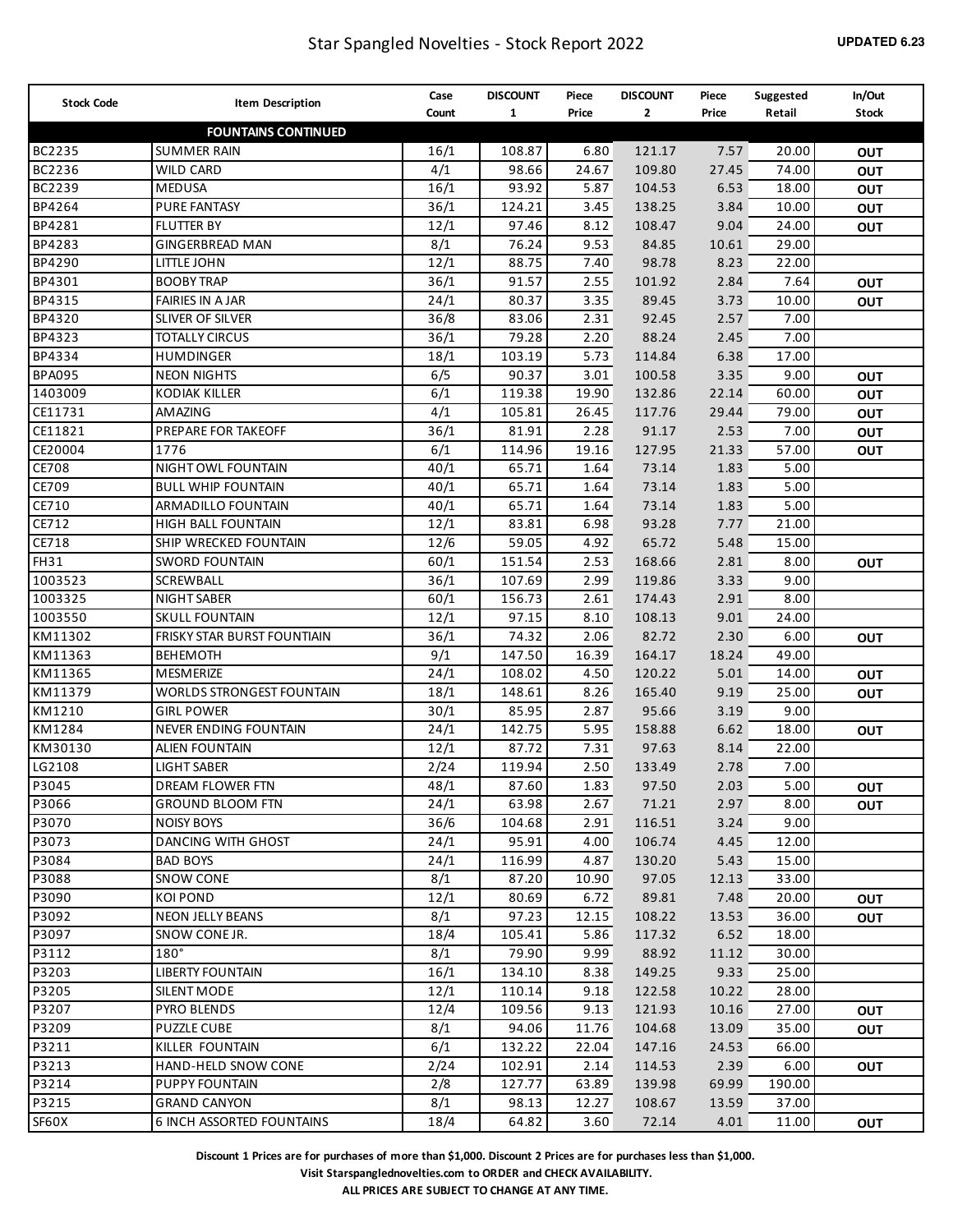| <b>Stock Code</b> | <b>Item Description</b>          | Case  | <b>DISCOUNT</b> | Piece  | <b>DISCOUNT</b> | Piece | Suggested | In/Out                   |
|-------------------|----------------------------------|-------|-----------------|--------|-----------------|-------|-----------|--------------------------|
|                   |                                  | Count | $\mathbf{1}$    | Price  | $\mathbf{2}$    | Price | Retail    | <b>Stock</b>             |
|                   | <b>FOUNTAINS CONTINUED</b>       |       |                 |        |                 |       |           |                          |
| BC2235            | <b>SUMMER RAIN</b>               | 16/1  | 108.87          | 6.80   | 121.17          | 7.57  | 20.00     | <b>OUT</b>               |
| BC2236            | <b>WILD CARD</b>                 | 4/1   | 98.66           | 24.67  | 109.80          | 27.45 | 74.00     | OUT                      |
| BC2239            | <b>MEDUSA</b>                    | 16/1  | 93.92           | 5.87   | 104.53          | 6.53  | 18.00     | OUT                      |
| BP4264            | <b>PURE FANTASY</b>              | 36/1  | 124.21          | 3.45   | 138.25          | 3.84  | 10.00     | <b>OUT</b>               |
| BP4281            | <b>FLUTTER BY</b>                | 12/1  | 97.46           | 8.12   | 108.47          | 9.04  | 24.00     | <b>OUT</b>               |
| BP4283            | <b>GINGERBREAD MAN</b>           | 8/1   | 76.24           | 9.53   | 84.85           | 10.61 | 29.00     |                          |
| BP4290            | LITTLE JOHN                      | 12/1  | 88.75           | 7.40   | 98.78           | 8.23  | 22.00     |                          |
| BP4301            | <b>BOOBY TRAP</b>                | 36/1  | 91.57           | 2.55   | 101.92          | 2.84  | 7.64      | OUT                      |
| BP4315            | <b>FAIRIES IN A JAR</b>          | 24/1  | 80.37           | 3.35   | 89.45           | 3.73  | 10.00     | <b>OUT</b>               |
| BP4320            | SLIVER OF SILVER                 | 36/8  | 83.06           | 2.31   | 92.45           | 2.57  | 7.00      |                          |
| BP4323            | <b>TOTALLY CIRCUS</b>            | 36/1  | 79.28           | 2.20   | 88.24           | 2.45  | 7.00      |                          |
| BP4334            | <b>HUMDINGER</b>                 | 18/1  | 103.19          | 5.73   | 114.84          | 6.38  | 17.00     |                          |
| <b>BPA095</b>     | <b>NEON NIGHTS</b>               | 6/5   | 90.37           | 3.01   | 100.58          | 3.35  | 9.00      | OUT                      |
| 1403009           | <b>KODIAK KILLER</b>             | 6/1   | 119.38          | 19.90  | 132.86          | 22.14 | 60.00     | OUT                      |
| CE11731           | AMAZING                          | 4/1   | 105.81          | 26.45  | 117.76          | 29.44 | 79.00     | <b>OUT</b>               |
| CE11821           | PREPARE FOR TAKEOFF              | 36/1  | 81.91           | 2.28   | 91.17           | 2.53  | 7.00      | OUT                      |
| CE20004           | 1776                             | 6/1   | 114.96          | 19.16  | 127.95          | 21.33 | 57.00     | <b>OUT</b>               |
| CE708             | NIGHT OWL FOUNTAIN               | 40/1  | 65.71           | 1.64   | 73.14           | 1.83  | 5.00      |                          |
| CE709             | <b>BULL WHIP FOUNTAIN</b>        | 40/1  | 65.71           | 1.64   | 73.14           | 1.83  | 5.00      |                          |
| CE710             | ARMADILLO FOUNTAIN               | 40/1  | 65.71           | 1.64   | 73.14           | 1.83  | 5.00      |                          |
| CE712             | <b>HIGH BALL FOUNTAIN</b>        | 12/1  | 83.81           | 6.98   | 93.28           | 7.77  | 21.00     |                          |
| CE718             | SHIP WRECKED FOUNTAIN            | 12/6  | 59.05           | 4.92   | 65.72           | 5.48  | 15.00     |                          |
| <b>FH31</b>       | <b>SWORD FOUNTAIN</b>            | 60/1  | 151.54          | 2.53   | 168.66          | 2.81  | 8.00      | OUT                      |
| 1003523           | SCREWBALL                        | 36/1  | 107.69          | 2.99   | 119.86          | 3.33  | 9.00      |                          |
| 1003325           | <b>NIGHT SABER</b>               | 60/1  | 156.73          | 2.61   | 174.43          | 2.91  | 8.00      |                          |
| 1003550           | <b>SKULL FOUNTAIN</b>            | 12/1  | 97.15           | 8.10   | 108.13          | 9.01  | 24.00     |                          |
| KM11302           | FRISKY STAR BURST FOUNTIAIN      | 36/1  | 74.32           | 2.06   | 82.72           | 2.30  | 6.00      | OUT                      |
| KM11363           | <b>BEHEMOTH</b>                  | 9/1   | 147.50          | 16.39  | 164.17          | 18.24 | 49.00     |                          |
| KM11365           | <b>MESMERIZE</b>                 | 24/1  | 108.02          | 4.50   | 120.22          | 5.01  | 14.00     | OUT                      |
| KM11379           | WORLDS STRONGEST FOUNTAIN        | 18/1  | 148.61          | 8.26   | 165.40          | 9.19  | 25.00     | <b>OUT</b>               |
| KM1210            | <b>GIRL POWER</b>                | 30/1  | 85.95           | 2.87   | 95.66           | 3.19  | 9.00      |                          |
| KM1284            | NEVER ENDING FOUNTAIN            | 24/1  | 142.75          | 5.95   | 158.88          | 6.62  | 18.00     | <b>OUT</b>               |
| KM30130           | <b>ALIEN FOUNTAIN</b>            | 12/1  | 87.72           | 7.31   | 97.63           | 8.14  | 22.00     |                          |
| LG2108            | <b>LIGHT SABER</b>               | 2/24  | 119.94          | 2.50   | 133.49          | 2.78  | 7.00      |                          |
| P3045             | <b>DREAM FLOWER FTN</b>          | 48/1  | 87.60           | $1.83$ | 97.50           | 2.03  | 5.00      |                          |
| P3066             | <b>GROUND BLOOM FTN</b>          | 24/1  | 63.98           | 2.67   | 71.21           | 2.97  | 8.00      | <b>OUT</b><br><b>OUT</b> |
| P3070             | <b>NOISY BOYS</b>                | 36/6  | 104.68          | 2.91   | 116.51          | 3.24  | 9.00      |                          |
| P3073             | <b>DANCING WITH GHOST</b>        | 24/1  | 95.91           | 4.00   | 106.74          | 4.45  | 12.00     |                          |
| P3084             | <b>BAD BOYS</b>                  | 24/1  | 116.99          | 4.87   | 130.20          | 5.43  | 15.00     |                          |
| P3088             | <b>SNOW CONE</b>                 | 8/1   | 87.20           | 10.90  | 97.05           | 12.13 | 33.00     |                          |
| P3090             | <b>KOI POND</b>                  | 12/1  | 80.69           | 6.72   | 89.81           | 7.48  | 20.00     |                          |
|                   |                                  | 8/1   | 97.23           |        |                 |       |           | <b>OUT</b>               |
| P3092             | <b>NEON JELLY BEANS</b>          |       |                 | 12.15  | 108.22          | 13.53 | 36.00     | OUT                      |
| P3097             | SNOW CONE JR.                    | 18/4  | 105.41          | 5.86   | 117.32          | 6.52  | 18.00     |                          |
| P3112             | $180^\circ$                      | 8/1   | 79.90           | 9.99   | 88.92           | 11.12 | 30.00     |                          |
| P3203             | <b>LIBERTY FOUNTAIN</b>          | 16/1  | 134.10          | 8.38   | 149.25          | 9.33  | 25.00     |                          |
| P3205             | <b>SILENT MODE</b>               | 12/1  | 110.14          | 9.18   | 122.58          | 10.22 | 28.00     |                          |
| P3207             | <b>PYRO BLENDS</b>               | 12/4  | 109.56          | 9.13   | 121.93          | 10.16 | 27.00     | <b>OUT</b>               |
| P3209             | <b>PUZZLE CUBE</b>               | 8/1   | 94.06           | 11.76  | 104.68          | 13.09 | 35.00     | <b>OUT</b>               |
| P3211             | KILLER FOUNTAIN                  | 6/1   | 132.22          | 22.04  | 147.16          | 24.53 | 66.00     |                          |
| P3213             | HAND-HELD SNOW CONE              | 2/24  | 102.91          | 2.14   | 114.53          | 2.39  | 6.00      | <b>OUT</b>               |
| P3214             | PUPPY FOUNTAIN                   | 2/8   | 127.77          | 63.89  | 139.98          | 69.99 | 190.00    |                          |
| P3215             | <b>GRAND CANYON</b>              | 8/1   | 98.13           | 12.27  | 108.67          | 13.59 | 37.00     |                          |
| SF60X             | <b>6 INCH ASSORTED FOUNTAINS</b> | 18/4  | 64.82           | 3.60   | 72.14           | 4.01  | 11.00     | <b>OUT</b>               |

**Visit Starspanglednovelties.com to ORDER and CHECK AVAILABILITY.**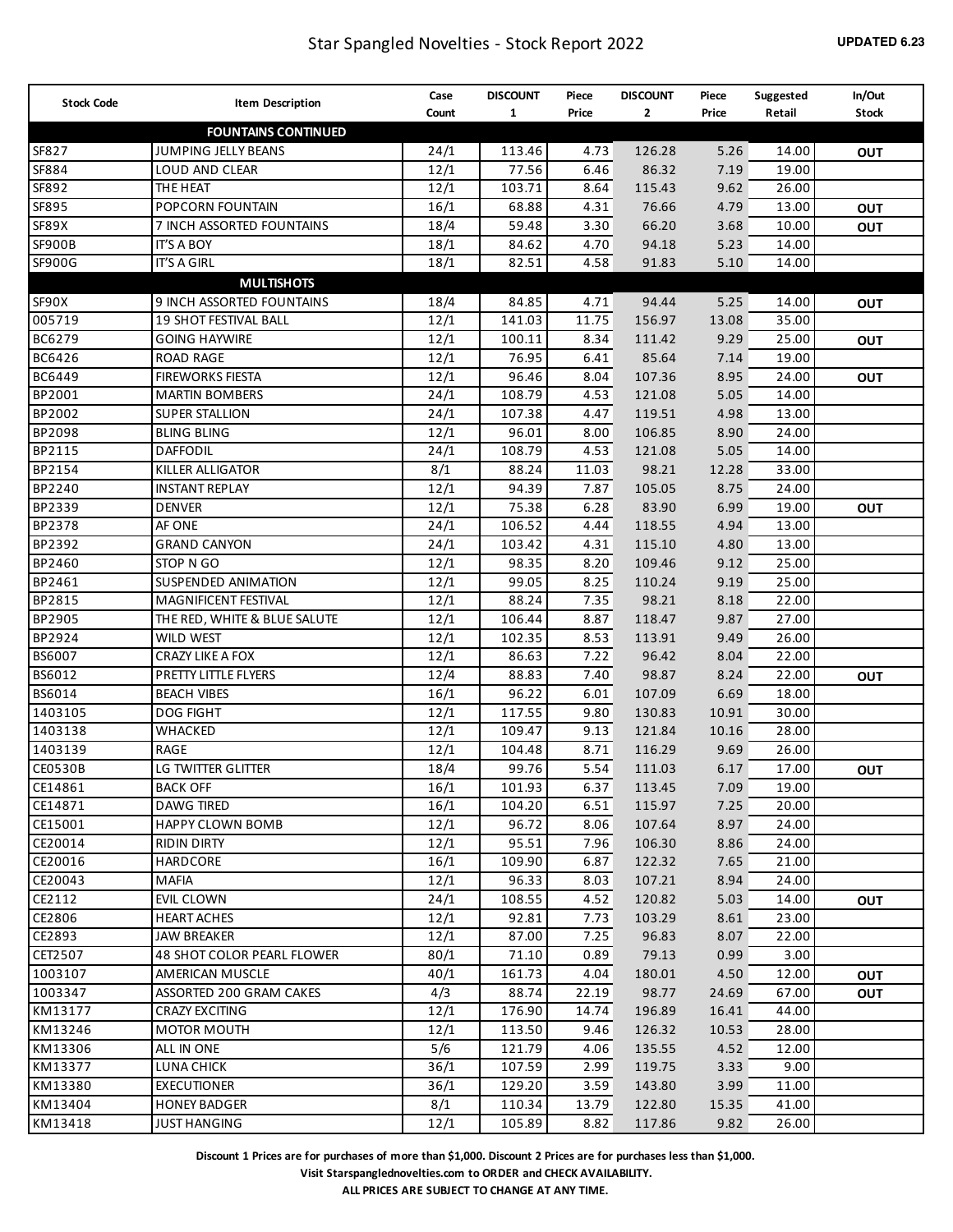| <b>Stock Code</b> | <b>Item Description</b>           | Case  | <b>DISCOUNT</b> | Piece | <b>DISCOUNT</b> | Piece | Suggested | In/Out       |
|-------------------|-----------------------------------|-------|-----------------|-------|-----------------|-------|-----------|--------------|
|                   |                                   | Count | $\mathbf{1}$    | Price | $\mathbf{2}$    | Price | Retail    | <b>Stock</b> |
|                   | <b>FOUNTAINS CONTINUED</b>        |       |                 |       |                 |       |           |              |
| SF827             | JUMPING JELLY BEANS               | 24/1  | 113.46          | 4.73  | 126.28          | 5.26  | 14.00     | <b>OUT</b>   |
| SF884             | LOUD AND CLEAR                    | 12/1  | 77.56           | 6.46  | 86.32           | 7.19  | 19.00     |              |
| SF892             | THE HEAT                          | 12/1  | 103.71          | 8.64  | 115.43          | 9.62  | 26.00     |              |
| SF895             | POPCORN FOUNTAIN                  | 16/1  | 68.88           | 4.31  | 76.66           | 4.79  | 13.00     | OUT          |
| SF89X             | 7 INCH ASSORTED FOUNTAINS         | 18/4  | 59.48           | 3.30  | 66.20           | 3.68  | 10.00     | OUT          |
| <b>SF900B</b>     | <b>IT'S A BOY</b>                 | 18/1  | 84.62           | 4.70  | 94.18           | 5.23  | 14.00     |              |
| SF900G            | <b>IT'S A GIRL</b>                | 18/1  | 82.51           | 4.58  | 91.83           | 5.10  | 14.00     |              |
|                   | <b>MULTISHOTS</b>                 |       |                 |       |                 |       |           |              |
| SF90X             | 9 INCH ASSORTED FOUNTAINS         | 18/4  | 84.85           | 4.71  | 94.44           | 5.25  | 14.00     | <b>OUT</b>   |
| 005719            | 19 SHOT FESTIVAL BALL             | 12/1  | 141.03          | 11.75 | 156.97          | 13.08 | 35.00     |              |
| BC6279            | <b>GOING HAYWIRE</b>              | 12/1  | 100.11          | 8.34  | 111.42          | 9.29  | 25.00     | <b>OUT</b>   |
| BC6426            | <b>ROAD RAGE</b>                  | 12/1  | 76.95           | 6.41  | 85.64           | 7.14  | 19.00     |              |
| BC6449            | <b>FIREWORKS FIESTA</b>           | 12/1  | 96.46           | 8.04  | 107.36          | 8.95  | 24.00     | <b>OUT</b>   |
| BP2001            | <b>MARTIN BOMBERS</b>             | 24/1  | 108.79          | 4.53  | 121.08          | 5.05  | 14.00     |              |
| BP2002            | <b>SUPER STALLION</b>             | 24/1  | 107.38          | 4.47  | 119.51          | 4.98  | 13.00     |              |
| BP2098            | <b>BLING BLING</b>                | 12/1  | 96.01           | 8.00  | 106.85          | 8.90  | 24.00     |              |
| BP2115            | <b>DAFFODIL</b>                   | 24/1  | 108.79          | 4.53  | 121.08          | 5.05  | 14.00     |              |
| BP2154            | KILLER ALLIGATOR                  | 8/1   | 88.24           | 11.03 | 98.21           | 12.28 | 33.00     |              |
| BP2240            | <b>INSTANT REPLAY</b>             | 12/1  | 94.39           | 7.87  | 105.05          | 8.75  | 24.00     |              |
| BP2339            | <b>DENVER</b>                     | 12/1  | 75.38           | 6.28  | 83.90           | 6.99  | 19.00     | <b>OUT</b>   |
| BP2378            | AF ONE                            | 24/1  | 106.52          | 4.44  | 118.55          | 4.94  | 13.00     |              |
| BP2392            | <b>GRAND CANYON</b>               | 24/1  | 103.42          | 4.31  | 115.10          | 4.80  | 13.00     |              |
| BP2460            | STOP N GO                         | 12/1  | 98.35           | 8.20  | 109.46          | 9.12  | 25.00     |              |
| BP2461            | SUSPENDED ANIMATION               | 12/1  | 99.05           | 8.25  | 110.24          | 9.19  | 25.00     |              |
| BP2815            | MAGNIFICENT FESTIVAL              | 12/1  | 88.24           | 7.35  | 98.21           | 8.18  | 22.00     |              |
| BP2905            | THE RED, WHITE & BLUE SALUTE      | 12/1  | 106.44          | 8.87  | 118.47          | 9.87  | 27.00     |              |
| BP2924            | WILD WEST                         | 12/1  | 102.35          | 8.53  | 113.91          | 9.49  | 26.00     |              |
| BS6007            | CRAZY LIKE A FOX                  | 12/1  | 86.63           | 7.22  | 96.42           | 8.04  | 22.00     |              |
| BS6012            | PRETTY LITTLE FLYERS              | 12/4  | 88.83           | 7.40  | 98.87           | 8.24  | 22.00     | <b>OUT</b>   |
| BS6014            | <b>BEACH VIBES</b>                | 16/1  | 96.22           | 6.01  | 107.09          | 6.69  | 18.00     |              |
| 1403105           | <b>DOG FIGHT</b>                  | 12/1  | 117.55          | 9.80  | 130.83          | 10.91 | 30.00     |              |
| 1403138           | WHACKED                           | 12/1  | 109.47          | 9.13  | 121.84          | 10.16 | 28.00     |              |
| 1403139           | RAGE                              | 12/1  | 104.48          | 8.71  | 116.29          | 9.69  | 26.00     |              |
| <b>CE0530B</b>    | LG TWITTER GLITTER                | 18/4  | 99.76           | 5.54  | 111.03          | 6.17  | 17.00     | <b>OUT</b>   |
| CE14861           | <b>BACK OFF</b>                   | 16/1  | 101.93          | 6.37  | 113.45          | 7.09  | 19.00     |              |
| CE14871           | <b>DAWG TIRED</b>                 | 16/1  | 104.20          | 6.51  | 115.97          | 7.25  | 20.00     |              |
| CE15001           | <b>HAPPY CLOWN BOMB</b>           | 12/1  | 96.72           | 8.06  | 107.64          | 8.97  | 24.00     |              |
| CE20014           | <b>RIDIN DIRTY</b>                | 12/1  | 95.51           | 7.96  | 106.30          | 8.86  | 24.00     |              |
| CE20016           | HARDCORE                          | 16/1  | 109.90          | 6.87  | 122.32          | 7.65  | 21.00     |              |
| CE20043           | <b>MAFIA</b>                      | 12/1  | 96.33           | 8.03  | 107.21          | 8.94  | 24.00     |              |
| CE2112            | EVIL CLOWN                        | 24/1  | 108.55          | 4.52  | 120.82          | 5.03  | 14.00     | <b>OUT</b>   |
| CE2806            | <b>HEART ACHES</b>                | 12/1  | 92.81           | 7.73  | 103.29          | 8.61  | 23.00     |              |
| CE2893            | <b>JAW BREAKER</b>                | 12/1  | 87.00           | 7.25  | 96.83           | 8.07  | 22.00     |              |
| CET2507           | <b>48 SHOT COLOR PEARL FLOWER</b> | 80/1  | 71.10           | 0.89  | 79.13           | 0.99  | 3.00      |              |
| 1003107           | AMERICAN MUSCLE                   | 40/1  | 161.73          | 4.04  | 180.01          | 4.50  | 12.00     | <b>OUT</b>   |
| 1003347           | ASSORTED 200 GRAM CAKES           | 4/3   | 88.74           | 22.19 | 98.77           | 24.69 | 67.00     | <b>OUT</b>   |
| KM13177           | CRAZY EXCITING                    | 12/1  | 176.90          | 14.74 | 196.89          | 16.41 | 44.00     |              |
| KM13246           | <b>MOTOR MOUTH</b>                | 12/1  | 113.50          | 9.46  | 126.32          | 10.53 | 28.00     |              |
| KM13306           | ALL IN ONE                        | 5/6   | 121.79          | 4.06  | 135.55          | 4.52  | 12.00     |              |
| KM13377           |                                   | 36/1  | 107.59          | 2.99  | 119.75          | 3.33  | 9.00      |              |
| KM13380           | LUNA CHICK<br><b>EXECUTIONER</b>  | 36/1  | 129.20          | 3.59  | 143.80          | 3.99  | 11.00     |              |
| KM13404           | <b>HONEY BADGER</b>               |       | 110.34          | 13.79 | 122.80          | 15.35 | 41.00     |              |
|                   |                                   | 8/1   |                 |       |                 |       |           |              |
| KM13418           | <b>JUST HANGING</b>               | 12/1  | 105.89          | 8.82  | 117.86          | 9.82  | 26.00     |              |

**Visit Starspanglednovelties.com to ORDER and CHECK AVAILABILITY.**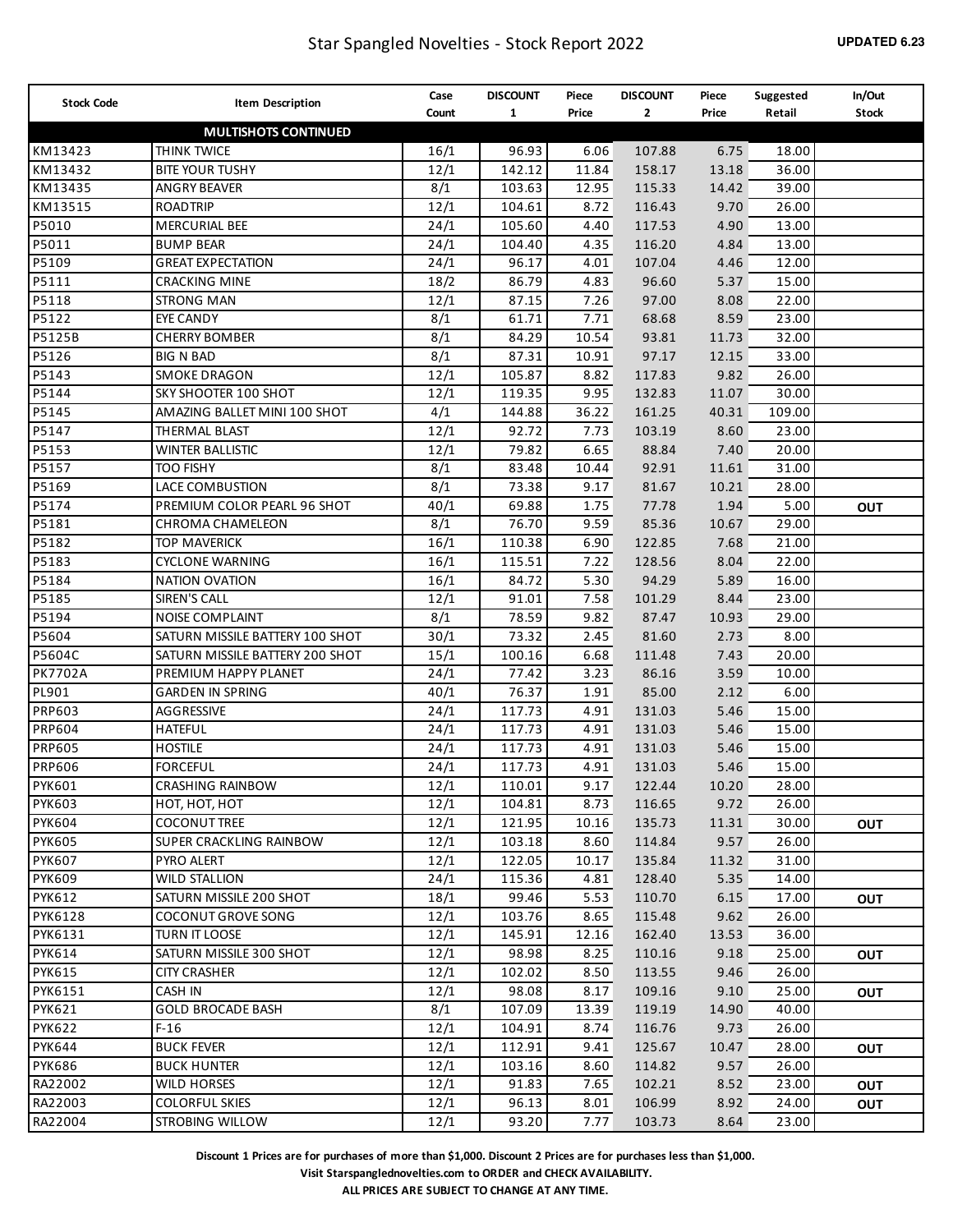| <b>Stock Code</b>              | <b>Item Description</b>              | Case  | <b>DISCOUNT</b>  | Piece        | <b>DISCOUNT</b>  | Piece         | Suggested      | In/Out     |
|--------------------------------|--------------------------------------|-------|------------------|--------------|------------------|---------------|----------------|------------|
|                                |                                      | Count | $\mathbf{1}$     | Price        | $\mathbf{2}$     | Price         | Retail         | Stock      |
|                                | <b>MULTISHOTS CONTINUED</b>          |       |                  |              |                  |               |                |            |
| KM13423                        | THINK TWICE                          | 16/1  | 96.93            | 6.06         | 107.88           | 6.75          | 18.00          |            |
| KM13432                        | <b>BITE YOUR TUSHY</b>               | 12/1  | 142.12           | 11.84        | 158.17           | 13.18         | 36.00          |            |
| KM13435                        | <b>ANGRY BEAVER</b>                  | 8/1   | 103.63           | 12.95        | 115.33           | 14.42         | 39.00          |            |
| KM13515                        | <b>ROADTRIP</b>                      | 12/1  | 104.61           | 8.72         | 116.43           | 9.70          | 26.00          |            |
| P5010                          | <b>MERCURIAL BEE</b>                 | 24/1  | 105.60           | 4.40         | 117.53           | 4.90          | 13.00          |            |
| P5011                          | <b>BUMP BEAR</b>                     | 24/1  | 104.40           | 4.35         | 116.20           | 4.84          | 13.00          |            |
| P5109                          | <b>GREAT EXPECTATION</b>             | 24/1  | 96.17            | 4.01         | 107.04           | 4.46          | 12.00          |            |
| P5111                          | <b>CRACKING MINE</b>                 | 18/2  | 86.79            | 4.83         | 96.60            | 5.37          | 15.00          |            |
| P5118                          | <b>STRONG MAN</b>                    | 12/1  | 87.15            | 7.26         | 97.00            | 8.08          | 22.00          |            |
| P5122                          | <b>EYE CANDY</b>                     | 8/1   | 61.71            | 7.71         | 68.68            | 8.59          | 23.00          |            |
| P5125B                         | <b>CHERRY BOMBER</b>                 | 8/1   | 84.29            | 10.54        | 93.81            | 11.73         | 32.00          |            |
| P5126                          | <b>BIG N BAD</b>                     | 8/1   | 87.31            | 10.91        | 97.17            | 12.15         | 33.00          |            |
| P5143                          | <b>SMOKE DRAGON</b>                  | 12/1  | 105.87           | 8.82         | 117.83           | 9.82          | 26.00          |            |
| P5144                          | SKY SHOOTER 100 SHOT                 | 12/1  | 119.35           | 9.95         | 132.83           | 11.07         | 30.00          |            |
| P5145                          | AMAZING BALLET MINI 100 SHOT         | 4/1   | 144.88           | 36.22        | 161.25           | 40.31         | 109.00         |            |
| P5147                          | THERMAL BLAST                        | 12/1  | 92.72            | 7.73         | 103.19           | 8.60          | 23.00          |            |
| P5153                          | <b>WINTER BALLISTIC</b>              | 12/1  | 79.82            | 6.65         | 88.84            | 7.40          | 20.00          |            |
| P5157                          | <b>TOO FISHY</b>                     | 8/1   | 83.48            | 10.44        | 92.91            | 11.61         | 31.00          |            |
| P5169                          | LACE COMBUSTION                      | 8/1   | 73.38            | 9.17         | 81.67            | 10.21         | 28.00          |            |
| P5174                          | PREMIUM COLOR PEARL 96 SHOT          | 40/1  | 69.88            | 1.75         | 77.78            | 1.94          | 5.00           | <b>OUT</b> |
| P5181                          | <b>CHROMA CHAMELEON</b>              | 8/1   | 76.70            | 9.59         | 85.36            | 10.67         | 29.00          |            |
| P5182                          | <b>TOP MAVERICK</b>                  | 16/1  | 110.38           | 6.90         | 122.85           | 7.68          | 21.00          |            |
| P5183                          | <b>CYCLONE WARNING</b>               | 16/1  | 115.51           | 7.22         | 128.56           | 8.04          | 22.00          |            |
| P5184                          | <b>NATION OVATION</b>                | 16/1  | 84.72            | 5.30         | 94.29            | 5.89          | 16.00          |            |
| P5185                          | SIREN'S CALL                         | 12/1  | 91.01            | 7.58         | 101.29           | 8.44          | 23.00          |            |
| P5194                          | NOISE COMPLAINT                      | 8/1   | 78.59            | 9.82         | 87.47            | 10.93         | 29.00          |            |
| P5604                          | SATURN MISSILE BATTERY 100 SHOT      | 30/1  | 73.32            | 2.45         | 81.60            | 2.73          | 8.00           |            |
| P5604C                         | SATURN MISSILE BATTERY 200 SHOT      | 15/1  | 100.16           | 6.68         | 111.48           | 7.43          | 20.00          |            |
| <b>PK7702A</b>                 | PREMIUM HAPPY PLANET                 | 24/1  | 77.42            | 3.23         | 86.16            | 3.59          | 10.00          |            |
| PL901                          | <b>GARDEN IN SPRING</b>              | 40/1  | 76.37            | 1.91         | 85.00            | 2.12          | 6.00           |            |
| PRP603                         | AGGRESSIVE                           | 24/1  | 117.73           | 4.91         | 131.03           | 5.46          | 15.00          |            |
| PRP604                         | <b>HATEFUL</b>                       | 24/1  | 117.73           | 4.91         | 131.03           | 5.46          | 15.00          |            |
| <b>PRP605</b>                  | <b>HOSTILE</b>                       | 24/1  | 117.73           | 4.91         | 131.03           | 5.46          | 15.00          |            |
| <b>PRP606</b>                  | <b>FORCEFUL</b>                      | 24/1  | 117.73           | 4.91         | 131.03           | 5.46          | 15.00          |            |
| <b>PYK601</b>                  | <b>CRASHING RAINBOW</b>              | 12/1  | 110.01           | 9.17         | 122.44           | 10.20         | 28.00          |            |
| <b>PYK603</b>                  | HOT, HOT, HOT                        | 12/1  | 104.81           | 8.73         | 116.65           | 9.72          | 26.00          |            |
| <b>PYK604</b>                  | <b>COCONUT TREE</b>                  | 12/1  | 121.95           | 10.16        | 135.73           | 11.31         | 30.00          | <b>OUT</b> |
| <b>PYK605</b>                  | SUPER CRACKLING RAINBOW              | 12/1  | 103.18           | 8.60         | 114.84           | 9.57          | 26.00          |            |
| <b>PYK607</b>                  | PYRO ALERT                           | 12/1  | 122.05           | 10.17        | 135.84           | 11.32         | 31.00          |            |
| <b>PYK609</b>                  | <b>WILD STALLION</b>                 | 24/1  | 115.36           | 4.81         | 128.40           | 5.35          | 14.00          |            |
| <b>PYK612</b>                  | SATURN MISSILE 200 SHOT              | 18/1  | 99.46            | 5.53         | 110.70           | 6.15          | 17.00          | Ουτ        |
| <b>PYK6128</b>                 | <b>COCONUT GROVE SONG</b>            | 12/1  | 103.76           | 8.65         | 115.48           | 9.62          | 26.00          |            |
| PYK6131                        | TURN IT LOOSE                        | 12/1  | 145.91           | 12.16        | 162.40           | 13.53         | 36.00          |            |
| <b>PYK614</b>                  | SATURN MISSILE 300 SHOT              | 12/1  | 98.98            | 8.25         | 110.16           | 9.18          | 25.00          | Ουτ        |
| <b>PYK615</b>                  | <b>CITY CRASHER</b>                  | 12/1  | 102.02           | 8.50         | 113.55           | 9.46          | 26.00          |            |
| PYK6151                        | CASH IN                              | 12/1  | 98.08            | 8.17         | 109.16           | 9.10          | 25.00          |            |
| <b>PYK621</b>                  | <b>GOLD BROCADE BASH</b>             | 8/1   | 107.09           | 13.39        | 119.19           | 14.90         | 40.00          | Ουτ        |
|                                |                                      |       |                  |              |                  |               |                |            |
| <b>PYK622</b><br><b>PYK644</b> | $F-16$<br><b>BUCK FEVER</b>          | 12/1  | 104.91<br>112.91 | 8.74<br>9.41 | 116.76<br>125.67 | 9.73<br>10.47 | 26.00<br>28.00 |            |
|                                |                                      | 12/1  |                  |              |                  |               |                | <b>OUT</b> |
| <b>PYK686</b>                  | <b>BUCK HUNTER</b>                   | 12/1  | 103.16<br>91.83  | 8.60<br>7.65 | 114.82           | 9.57<br>8.52  | 26.00<br>23.00 |            |
| RA22002<br>RA22003             | WILD HORSES<br><b>COLORFUL SKIES</b> | 12/1  | 96.13            | 8.01         | 102.21<br>106.99 | 8.92          | 24.00          | <b>OUT</b> |
|                                |                                      | 12/1  |                  |              |                  |               |                | Ουτ        |
| RA22004                        | <b>STROBING WILLOW</b>               | 12/1  | 93.20            | 7.77         | 103.73           | 8.64          | 23.00          |            |

**Visit Starspanglednovelties.com to ORDER and CHECK AVAILABILITY.**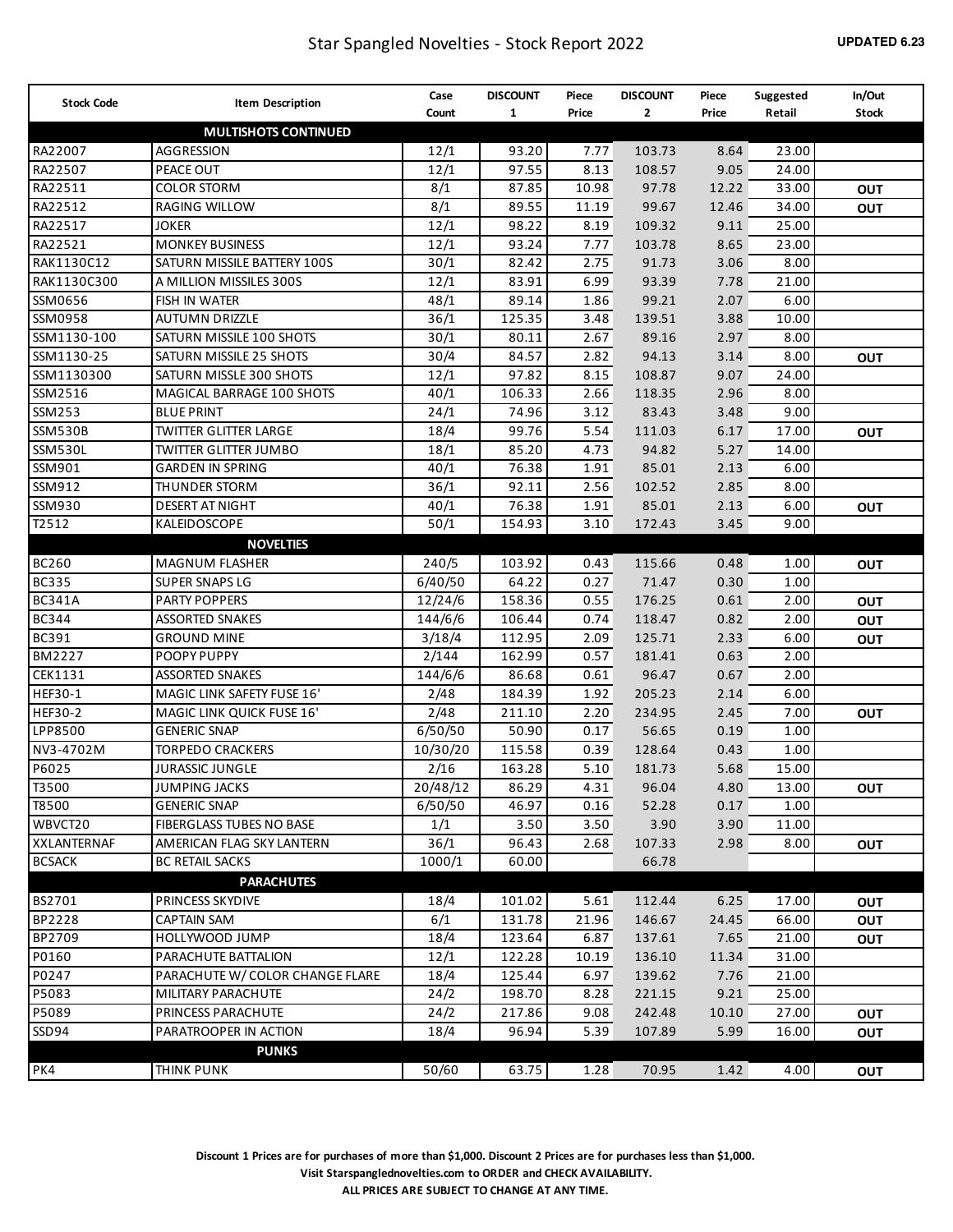| <b>Stock Code</b> | <b>Item Description</b>         | Case     | <b>DISCOUNT</b> | Piece | <b>DISCOUNT</b> | Piece | Suggested | In/Out       |
|-------------------|---------------------------------|----------|-----------------|-------|-----------------|-------|-----------|--------------|
|                   |                                 | Count    | $\mathbf{1}$    | Price | 2               | Price | Retail    | <b>Stock</b> |
|                   | <b>MULTISHOTS CONTINUED</b>     |          |                 |       |                 |       |           |              |
| RA22007           | AGGRESSION                      | 12/1     | 93.20           | 7.77  | 103.73          | 8.64  | 23.00     |              |
| RA22507           | PEACE OUT                       | 12/1     | 97.55           | 8.13  | 108.57          | 9.05  | 24.00     |              |
| RA22511           | <b>COLOR STORM</b>              | 8/1      | 87.85           | 10.98 | 97.78           | 12.22 | 33.00     | <b>OUT</b>   |
| RA22512           | RAGING WILLOW                   | 8/1      | 89.55           | 11.19 | 99.67           | 12.46 | 34.00     | <b>OUT</b>   |
| RA22517           | <b>JOKER</b>                    | 12/1     | 98.22           | 8.19  | 109.32          | 9.11  | 25.00     |              |
| RA22521           | <b>MONKEY BUSINESS</b>          | 12/1     | 93.24           | 7.77  | 103.78          | 8.65  | 23.00     |              |
| RAK1130C12        | SATURN MISSILE BATTERY 100S     | 30/1     | 82.42           | 2.75  | 91.73           | 3.06  | 8.00      |              |
| RAK1130C300       | A MILLION MISSILES 300S         | 12/1     | 83.91           | 6.99  | 93.39           | 7.78  | 21.00     |              |
| SSM0656           | FISH IN WATER                   | 48/1     | 89.14           | 1.86  | 99.21           | 2.07  | 6.00      |              |
| SSM0958           | <b>AUTUMN DRIZZLE</b>           | 36/1     | 125.35          | 3.48  | 139.51          | 3.88  | 10.00     |              |
| SSM1130-100       | SATURN MISSILE 100 SHOTS        | 30/1     | 80.11           | 2.67  | 89.16           | 2.97  | 8.00      |              |
| SSM1130-25        | SATURN MISSILE 25 SHOTS         | 30/4     | 84.57           | 2.82  | 94.13           | 3.14  | 8.00      | <b>OUT</b>   |
| SSM1130300        | SATURN MISSLE 300 SHOTS         | 12/1     | 97.82           | 8.15  | 108.87          | 9.07  | 24.00     |              |
| SSM2516           | MAGICAL BARRAGE 100 SHOTS       | 40/1     | 106.33          | 2.66  | 118.35          | 2.96  | 8.00      |              |
| SSM253            | <b>BLUE PRINT</b>               | 24/1     | 74.96           | 3.12  | 83.43           | 3.48  | 9.00      |              |
| <b>SSM530B</b>    | <b>TWITTER GLITTER LARGE</b>    | 18/4     | 99.76           | 5.54  | 111.03          | 6.17  | 17.00     | <b>OUT</b>   |
| <b>SSM530L</b>    | <b>TWITTER GLITTER JUMBO</b>    | 18/1     | 85.20           | 4.73  | 94.82           | 5.27  | 14.00     |              |
| SSM901            | <b>GARDEN IN SPRING</b>         | 40/1     | 76.38           | 1.91  | 85.01           | 2.13  | 6.00      |              |
| SSM912            | <b>THUNDER STORM</b>            | 36/1     | 92.11           | 2.56  | 102.52          | 2.85  | 8.00      |              |
| SSM930            | <b>DESERT AT NIGHT</b>          | 40/1     | 76.38           | 1.91  | 85.01           | 2.13  | 6.00      | <b>OUT</b>   |
| T2512             | KALEIDOSCOPE                    | 50/1     | 154.93          | 3.10  | 172.43          | 3.45  | 9.00      |              |
|                   | <b>NOVELTIES</b>                |          |                 |       |                 |       |           |              |
| <b>BC260</b>      | <b>MAGNUM FLASHER</b>           | 240/5    | 103.92          | 0.43  | 115.66          | 0.48  | 1.00      | <b>OUT</b>   |
| <b>BC335</b>      | <b>SUPER SNAPS LG</b>           | 6/40/50  | 64.22           | 0.27  | 71.47           | 0.30  | 1.00      |              |
| <b>BC341A</b>     | <b>PARTY POPPERS</b>            | 12/24/6  | 158.36          | 0.55  | 176.25          | 0.61  | 2.00      | OUT          |
| <b>BC344</b>      | <b>ASSORTED SNAKES</b>          | 144/6/6  | 106.44          | 0.74  | 118.47          | 0.82  | 2.00      | OUT          |
| BC391             | <b>GROUND MINE</b>              | 3/18/4   | 112.95          | 2.09  | 125.71          | 2.33  | 6.00      | <b>OUT</b>   |
| <b>BM2227</b>     | POOPY PUPPY                     | 2/144    | 162.99          | 0.57  | 181.41          | 0.63  | 2.00      |              |
| CEK1131           | <b>ASSORTED SNAKES</b>          | 144/6/6  | 86.68           | 0.61  | 96.47           | 0.67  | 2.00      |              |
| HEF30-1           | MAGIC LINK SAFETY FUSE 16'      | 2/48     | 184.39          | 1.92  | 205.23          | 2.14  | 6.00      |              |
| <b>HEF30-2</b>    | MAGIC LINK QUICK FUSE 16'       | 2/48     | 211.10          | 2.20  | 234.95          | 2.45  | 7.00      | <b>OUT</b>   |
| LPP8500           | <b>GENERIC SNAP</b>             | 6/50/50  | 50.90           | 0.17  | 56.65           | 0.19  | 1.00      |              |
| NV3-4702M         | <b>TORPEDO CRACKERS</b>         | 10/30/20 | 115.58          | 0.39  | 128.64          | 0.43  | 1.00      |              |
| P6025             | <b>JURASSIC JUNGLE</b>          | 2/16     | 163.28          | 5.10  | 181.73          | 5.68  | 15.00     |              |
| T3500             | JUMPING JACKS                   | 20/48/12 | 86.29           | 4.31  | 96.04           | 4.80  | 13.00     | Ουτ          |
| T8500             | <b>GENERIC SNAP</b>             | 6/50/50  | 46.97           | 0.16  | 52.28           | 0.17  | 1.00      |              |
| WBVCT20           | <b>FIBERGLASS TUBES NO BASE</b> | 1/1      | 3.50            | 3.50  | 3.90            | 3.90  | 11.00     |              |
| XXLANTERNAF       | AMERICAN FLAG SKY LANTERN       | 36/1     | 96.43           | 2.68  | 107.33          | 2.98  | 8.00      | <b>OUT</b>   |
| <b>BCSACK</b>     | <b>BC RETAIL SACKS</b>          | 1000/1   | 60.00           |       | 66.78           |       |           |              |
|                   | <b>PARACHUTES</b>               |          |                 |       |                 |       |           |              |
| BS2701            | <b>PRINCESS SKYDIVE</b>         | 18/4     | 101.02          | 5.61  | 112.44          | 6.25  | 17.00     | <b>OUT</b>   |
| BP2228            | <b>CAPTAIN SAM</b>              | 6/1      | 131.78          | 21.96 | 146.67          | 24.45 | 66.00     |              |
| BP2709            | HOLLYWOOD JUMP                  | 18/4     | 123.64          | 6.87  | 137.61          | 7.65  | 21.00     | OUT          |
| P0160             | PARACHUTE BATTALION             | 12/1     | 122.28          | 10.19 | 136.10          | 11.34 | 31.00     | OUT          |
| P0247             | PARACHUTE W/COLOR CHANGE FLARE  | 18/4     | 125.44          | 6.97  | 139.62          | 7.76  | 21.00     |              |
| P5083             | MILITARY PARACHUTE              | 24/2     | 198.70          | 8.28  | 221.15          | 9.21  | 25.00     |              |
| P5089             | PRINCESS PARACHUTE              | 24/2     | 217.86          | 9.08  | 242.48          | 10.10 | 27.00     |              |
| SSD94             |                                 |          |                 | 5.39  |                 |       |           | <b>OUT</b>   |
|                   | PARATROOPER IN ACTION           | 18/4     | 96.94           |       | 107.89          | 5.99  | 16.00     | <b>OUT</b>   |
|                   | <b>PUNKS</b>                    |          |                 |       |                 |       |           |              |
| PK4               | <b>THINK PUNK</b>               | 50/60    | 63.75           | 1.28  | 70.95           | 1.42  | 4.00      | <b>OUT</b>   |

**Discount 1 Prices are for purchases of more than \$1,000. Discount 2 Prices are for purchases less than \$1,000. Visit Starspanglednovelties.com to ORDER and CHECK AVAILABILITY.**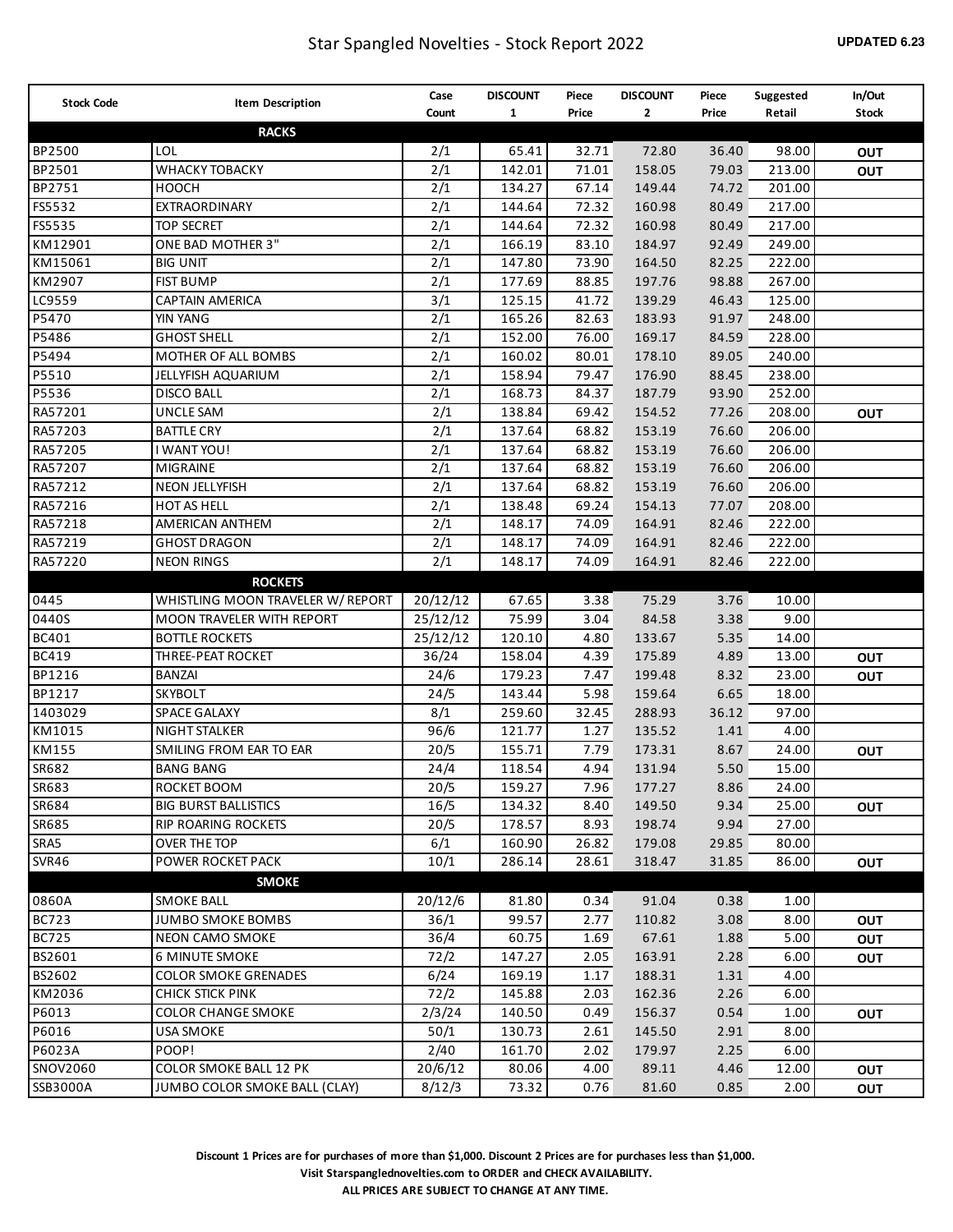## Star Spangled Novelties - Stock Report 2022 **UPDATED 6.23**

| <b>Stock Code</b> | Item Description                  | Case     | <b>DISCOUNT</b> | Piece | <b>DISCOUNT</b> | Piece | Suggested | In/Out       |
|-------------------|-----------------------------------|----------|-----------------|-------|-----------------|-------|-----------|--------------|
|                   |                                   | Count    | $\mathbf{1}$    | Price | $\mathbf{2}$    | Price | Retail    | <b>Stock</b> |
|                   | <b>RACKS</b>                      |          |                 |       |                 |       |           |              |
| BP2500            | LOL                               | 2/1      | 65.41           | 32.71 | 72.80           | 36.40 | 98.00     | <b>OUT</b>   |
| BP2501            | WHACKY TOBACKY                    | 2/1      | 142.01          | 71.01 | 158.05          | 79.03 | 213.00    | <b>OUT</b>   |
| BP2751            | <b>HOOCH</b>                      | 2/1      | 134.27          | 67.14 | 149.44          | 74.72 | 201.00    |              |
| FS5532            | EXTRAORDINARY                     | 2/1      | 144.64          | 72.32 | 160.98          | 80.49 | 217.00    |              |
| FS5535            | <b>TOP SECRET</b>                 | 2/1      | 144.64          | 72.32 | 160.98          | 80.49 | 217.00    |              |
| KM12901           | ONE BAD MOTHER 3"                 | 2/1      | 166.19          | 83.10 | 184.97          | 92.49 | 249.00    |              |
| KM15061           | <b>BIG UNIT</b>                   | 2/1      | 147.80          | 73.90 | 164.50          | 82.25 | 222.00    |              |
| KM2907            | <b>FIST BUMP</b>                  | 2/1      | 177.69          | 88.85 | 197.76          | 98.88 | 267.00    |              |
| LC9559            | <b>CAPTAIN AMERICA</b>            | 3/1      | 125.15          | 41.72 | 139.29          | 46.43 | 125.00    |              |
| P5470             | YIN YANG                          | 2/1      | 165.26          | 82.63 | 183.93          | 91.97 | 248.00    |              |
| P5486             | <b>GHOST SHELL</b>                | 2/1      | 152.00          | 76.00 | 169.17          | 84.59 | 228.00    |              |
| P5494             | MOTHER OF ALL BOMBS               | 2/1      | 160.02          | 80.01 | 178.10          | 89.05 | 240.00    |              |
| P5510             | JELLYFISH AQUARIUM                | 2/1      | 158.94          | 79.47 | 176.90          | 88.45 | 238.00    |              |
| P5536             | <b>DISCO BALL</b>                 | 2/1      | 168.73          | 84.37 | 187.79          | 93.90 | 252.00    |              |
| RA57201           | <b>UNCLE SAM</b>                  | 2/1      | 138.84          | 69.42 | 154.52          | 77.26 | 208.00    | <b>OUT</b>   |
| RA57203           | <b>BATTLE CRY</b>                 | 2/1      | 137.64          | 68.82 | 153.19          | 76.60 | 206.00    |              |
| RA57205           | I WANT YOU!                       | 2/1      | 137.64          | 68.82 | 153.19          | 76.60 | 206.00    |              |
| RA57207           | MIGRAINE                          | 2/1      | 137.64          | 68.82 | 153.19          | 76.60 | 206.00    |              |
| RA57212           | NEON JELLYFISH                    | 2/1      | 137.64          | 68.82 | 153.19          | 76.60 | 206.00    |              |
| RA57216           | HOT AS HELL                       | 2/1      | 138.48          | 69.24 | 154.13          | 77.07 | 208.00    |              |
| RA57218           | AMERICAN ANTHEM                   | 2/1      | 148.17          | 74.09 | 164.91          | 82.46 | 222.00    |              |
| RA57219           | <b>GHOST DRAGON</b>               | 2/1      | 148.17          | 74.09 | 164.91          | 82.46 | 222.00    |              |
| RA57220           | <b>NEON RINGS</b>                 | 2/1      | 148.17          | 74.09 | 164.91          | 82.46 | 222.00    |              |
|                   | <b>ROCKETS</b>                    |          |                 |       |                 |       |           |              |
| 0445              | WHISTLING MOON TRAVELER W/ REPORT | 20/12/12 | 67.65           | 3.38  | 75.29           | 3.76  | 10.00     |              |
| 0440S             | MOON TRAVELER WITH REPORT         | 25/12/12 | 75.99           | 3.04  | 84.58           | 3.38  | 9.00      |              |
| <b>BC401</b>      | <b>BOTTLE ROCKETS</b>             | 25/12/12 | 120.10          | 4.80  | 133.67          | 5.35  | 14.00     |              |
| <b>BC419</b>      | THREE-PEAT ROCKET                 | 36/24    | 158.04          | 4.39  | 175.89          | 4.89  | 13.00     | OUT          |
| BP1216            | <b>BANZAI</b>                     | 24/6     | 179.23          | 7.47  | 199.48          | 8.32  | 23.00     | <b>OUT</b>   |
| BP1217            | <b>SKYBOLT</b>                    | 24/5     | 143.44          | 5.98  | 159.64          | 6.65  | 18.00     |              |
| 1403029           | SPACE GALAXY                      | 8/1      | 259.60          | 32.45 | 288.93          | 36.12 | 97.00     |              |
| KM1015            | <b>NIGHT STALKER</b>              | 96/6     | 121.77          | 1.27  | 135.52          | 1.41  | 4.00      |              |
| KM155             | SMILING FROM EAR TO EAR           | 20/5     | 155.71          | 7.79  | 173.31          | 8.67  | 24.00     | OUT          |
| SR682             | <b>BANG BANG</b>                  | 24/4     | 118.54          | 4.94  | 131.94          | 5.50  | 15.00     |              |
| SR683             | ROCKET BOOM                       | 20/5     | 159.27          | 7.96  | 177.27          | 8.86  | 24.00     |              |
| SR684             | <b>BIG BURST BALLISTICS</b>       | 16/5     | 134.32          | 8.40  | 149.50          | 9.34  | 25.00     | <b>OUT</b>   |
| SR685             | <b>RIP ROARING ROCKETS</b>        | 20/5     | 178.57          | 8.93  | 198.74          | 9.94  | 27.00     |              |
| SRA5              | OVER THE TOP                      | 6/1      | 160.90          | 26.82 | 179.08          | 29.85 | 80.00     |              |
| SVR46             | POWER ROCKET PACK                 | 10/1     | 286.14          | 28.61 | 318.47          | 31.85 | 86.00     | OUT          |
|                   | <b>SMOKE</b>                      |          |                 |       |                 |       |           |              |
| 0860A             | <b>SMOKE BALL</b>                 | 20/12/6  | 81.80           | 0.34  | 91.04           | 0.38  | 1.00      |              |
| <b>BC723</b>      | <b>JUMBO SMOKE BOMBS</b>          | 36/1     | 99.57           | 2.77  | 110.82          | 3.08  | 8.00      | OUT          |
| <b>BC725</b>      | NEON CAMO SMOKE                   | 36/4     | 60.75           | 1.69  | 67.61           | 1.88  | 5.00      | OUT          |
| BS2601            | <b>6 MINUTE SMOKE</b>             | 72/2     | 147.27          | 2.05  | 163.91          | 2.28  | 6.00      | OUT          |
| BS2602            | <b>COLOR SMOKE GRENADES</b>       | 6/24     | 169.19          | 1.17  | 188.31          | 1.31  | 4.00      |              |
| KM2036            | CHICK STICK PINK                  | 72/2     | 145.88          | 2.03  | 162.36          | 2.26  | 6.00      |              |
| P6013             | <b>COLOR CHANGE SMOKE</b>         | 2/3/24   | 140.50          | 0.49  | 156.37          | 0.54  | 1.00      | <b>OUT</b>   |
| P6016             | <b>USA SMOKE</b>                  | 50/1     | 130.73          | 2.61  | 145.50          | 2.91  | 8.00      |              |
| P6023A            | POOP!                             | 2/40     | 161.70          | 2.02  | 179.97          | 2.25  | 6.00      |              |
| SNOV2060          | COLOR SMOKE BALL 12 PK            | 20/6/12  | 80.06           | 4.00  | 89.11           | 4.46  | 12.00     | OUT          |
| SSB3000A          | JUMBO COLOR SMOKE BALL (CLAY)     | 8/12/3   | 73.32           | 0.76  | 81.60           | 0.85  | 2.00      | <b>OUT</b>   |

**Discount 1 Prices are for purchases of more than \$1,000. Discount 2 Prices are for purchases less than \$1,000. Visit Starspanglednovelties.com to ORDER and CHECK AVAILABILITY. ALL PRICES ARE SUBJECT TO CHANGE AT ANY TIME.**